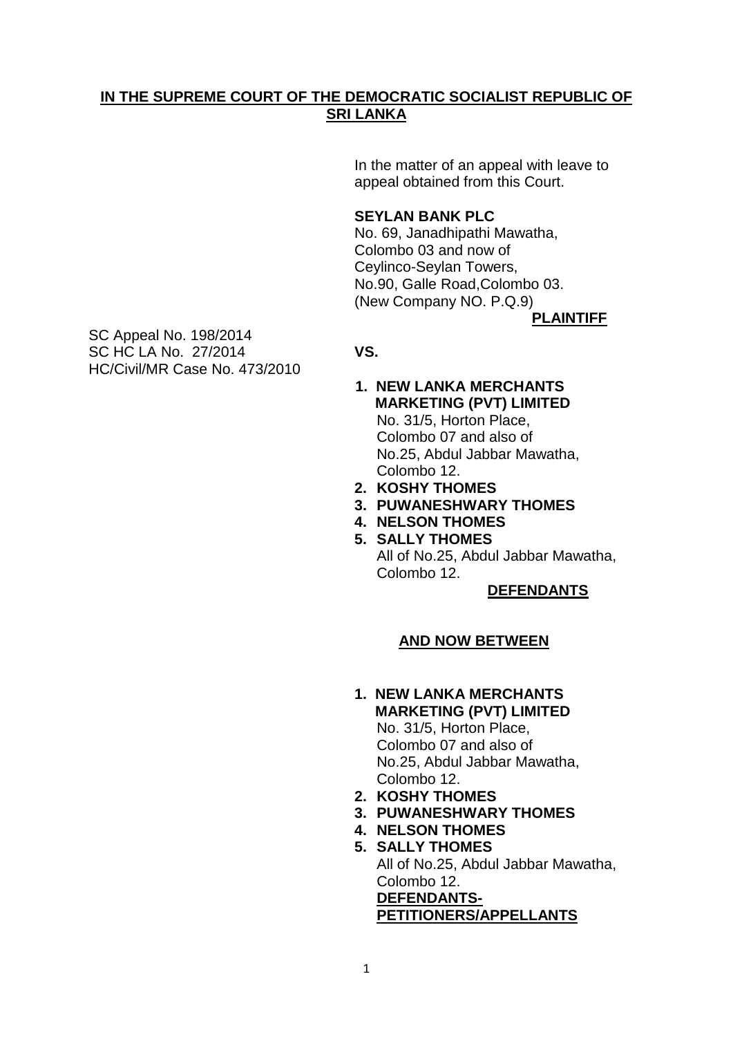## **IN THE SUPREME COURT OF THE DEMOCRATIC SOCIALIST REPUBLIC OF SRI LANKA**

In the matter of an appeal with leave to appeal obtained from this Court.

### **SEYLAN BANK PLC**

No. 69, Janadhipathi Mawatha, Colombo 03 and now of Ceylinco-Seylan Towers, No.90, Galle Road,Colombo 03. (New Company NO. P.Q.9)

**PLAINTIFF**

SC Appeal No. 198/2014 SC HC LA No. 27/2014 **VS.** HC/Civil/MR Case No. 473/2010

- **1. NEW LANKA MERCHANTS MARKETING (PVT) LIMITED** No. 31/5, Horton Place, Colombo 07 and also of No.25, Abdul Jabbar Mawatha, Colombo 12.
- **2. KOSHY THOMES**
- **3. PUWANESHWARY THOMES**
- **4. NELSON THOMES**
- **5. SALLY THOMES**
	- All of No.25, Abdul Jabbar Mawatha, Colombo 12.

#### **DEFENDANTS**

## **AND NOW BETWEEN**

- **1. NEW LANKA MERCHANTS MARKETING (PVT) LIMITED** No. 31/5, Horton Place, Colombo 07 and also of No.25, Abdul Jabbar Mawatha, Colombo 12.
- **2. KOSHY THOMES**
- **3. PUWANESHWARY THOMES**
- **4. NELSON THOMES 5. SALLY THOMES**
- All of No.25, Abdul Jabbar Mawatha, Colombo 12. **DEFENDANTS-PETITIONERS/APPELLANTS**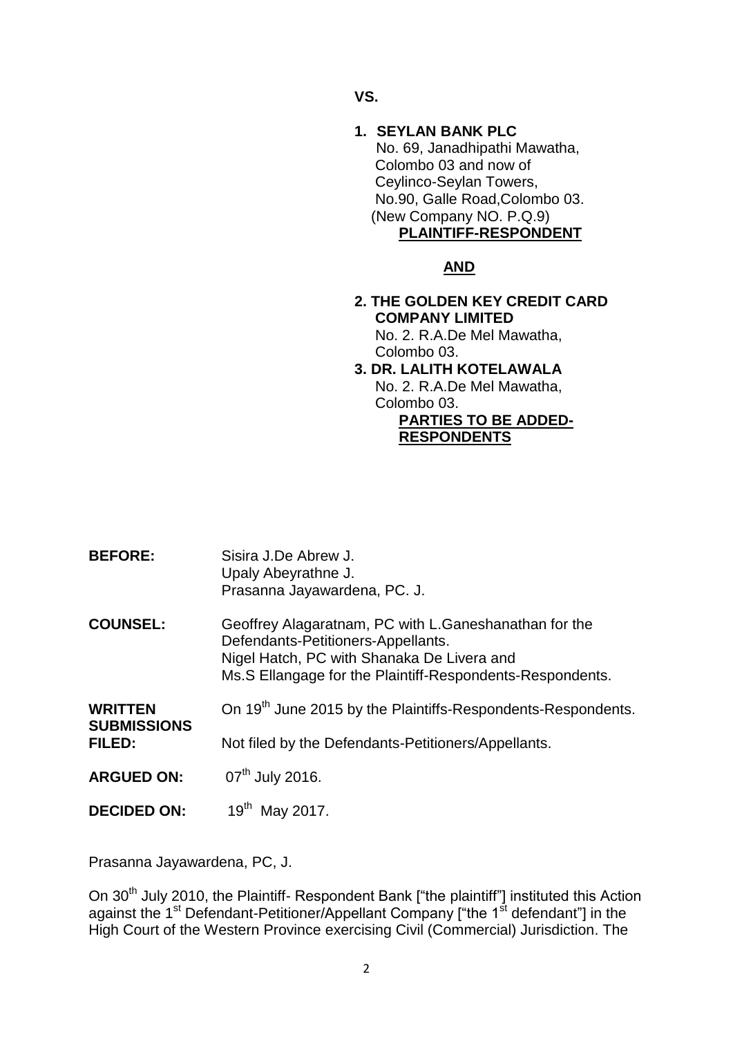**VS.**

**1. SEYLAN BANK PLC** No. 69, Janadhipathi Mawatha, Colombo 03 and now of Ceylinco-Seylan Towers, No.90, Galle Road,Colombo 03. (New Company NO. P.Q.9) **PLAINTIFF-RESPONDENT**

# **AND**

- **2. THE GOLDEN KEY CREDIT CARD COMPANY LIMITED** No. 2. R.A.De Mel Mawatha, Colombo 03.
- **3. DR. LALITH KOTELAWALA** No. 2. R.A.De Mel Mawatha, Colombo 03.

**PARTIES TO BE ADDED-RESPONDENTS**

**BEFORE:** Sisira J.De Abrew J. Upaly Abeyrathne J. Prasanna Jayawardena, PC. J. **COUNSEL:** Geoffrey Alagaratnam, PC with L.Ganeshanathan for the Defendants-Petitioners-Appellants. Nigel Hatch, PC with Shanaka De Livera and Ms.S Ellangage for the Plaintiff-Respondents-Respondents. **WRITTEN** On 19<sup>th</sup> June 2015 by the Plaintiffs-Respondents-Respondents. **SUBMISSIONS FILED:** Not filed by the Defendants-Petitioners/Appellants. **ARGUED ON:** 07<sup>th</sup> July 2016. **DECIDED ON:** 19<sup>th</sup> May 2017.

Prasanna Jayawardena, PC, J.

On 30<sup>th</sup> July 2010, the Plaintiff- Respondent Bank ["the plaintiff"] instituted this Action against the 1<sup>st</sup> Defendant-Petitioner/Appellant Company ["the 1<sup>st</sup> defendant"] in the High Court of the Western Province exercising Civil (Commercial) Jurisdiction. The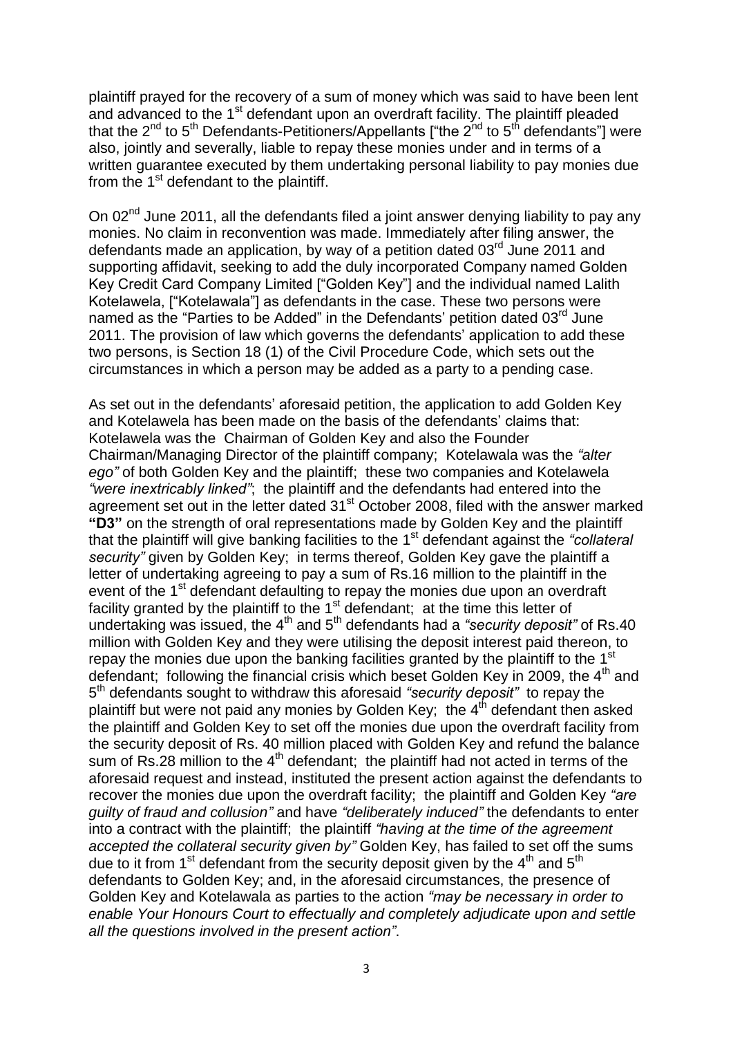plaintiff prayed for the recovery of a sum of money which was said to have been lent and advanced to the 1<sup>st</sup> defendant upon an overdraft facility. The plaintiff pleaded that the  $2^{nd}$  to  $5^{th}$  Defendants-Petitioners/Appellants ["the  $2^{nd}$  to  $5^{th}$  defendants"] were also, jointly and severally, liable to repay these monies under and in terms of a written guarantee executed by them undertaking personal liability to pay monies due from the 1<sup>st</sup> defendant to the plaintiff.

On 02<sup>nd</sup> June 2011, all the defendants filed a joint answer denying liability to pay any monies. No claim in reconvention was made. Immediately after filing answer, the defendants made an application, by way of a petition dated 03<sup>rd</sup> June 2011 and supporting affidavit, seeking to add the duly incorporated Company named Golden Key Credit Card Company Limited ["Golden Key"] and the individual named Lalith Kotelawela, ["Kotelawala"] as defendants in the case. These two persons were named as the "Parties to be Added" in the Defendants' petition dated 03<sup>rd</sup> June 2011. The provision of law which governs the defendants" application to add these two persons, is Section 18 (1) of the Civil Procedure Code, which sets out the circumstances in which a person may be added as a party to a pending case.

As set out in the defendants' aforesaid petition, the application to add Golden Key and Kotelawela has been made on the basis of the defendants' claims that: Kotelawela was the Chairman of Golden Key and also the Founder Chairman/Managing Director of the plaintiff company; Kotelawala was the *"alter ego"* of both Golden Key and the plaintiff; these two companies and Kotelawela *"were inextricably linked"*; the plaintiff and the defendants had entered into the agreement set out in the letter dated 31<sup>st</sup> October 2008, filed with the answer marked **"D3"** on the strength of oral representations made by Golden Key and the plaintiff that the plaintiff will give banking facilities to the 1<sup>st</sup> defendant against the "collateral *security"* given by Golden Key; in terms thereof, Golden Key gave the plaintiff a letter of undertaking agreeing to pay a sum of Rs.16 million to the plaintiff in the event of the 1<sup>st</sup> defendant defaulting to repay the monies due upon an overdraft facility granted by the plaintiff to the  $1<sup>st</sup>$  defendant; at the time this letter of undertaking was issued, the 4<sup>th</sup> and 5<sup>th</sup> defendants had a "security deposit" of Rs.40 million with Golden Key and they were utilising the deposit interest paid thereon, to repay the monies due upon the banking facilities granted by the plaintiff to the 1<sup>st</sup> defendant; following the financial crisis which beset Golden Key in 2009, the  $4<sup>th</sup>$  and 5 th defendants sought to withdraw this aforesaid *"security deposit"* to repay the plaintiff but were not paid any monies by Golden Key; the  $4<sup>th</sup>$  defendant then asked the plaintiff and Golden Key to set off the monies due upon the overdraft facility from the security deposit of Rs. 40 million placed with Golden Key and refund the balance sum of Rs. 28 million to the  $4<sup>th</sup>$  defendant; the plaintiff had not acted in terms of the aforesaid request and instead, instituted the present action against the defendants to recover the monies due upon the overdraft facility; the plaintiff and Golden Key *"are guilty of fraud and collusion"* and have *"deliberately induced"* the defendants to enter into a contract with the plaintiff; the plaintiff *"having at the time of the agreement accepted the collateral security given by"* Golden Key, has failed to set off the sums due to it from 1<sup>st</sup> defendant from the security deposit given by the 4<sup>th</sup> and 5<sup>th</sup> defendants to Golden Key; and, in the aforesaid circumstances, the presence of Golden Key and Kotelawala as parties to the action *"may be necessary in order to enable Your Honours Court to effectually and completely adjudicate upon and settle all the questions involved in the present action"*.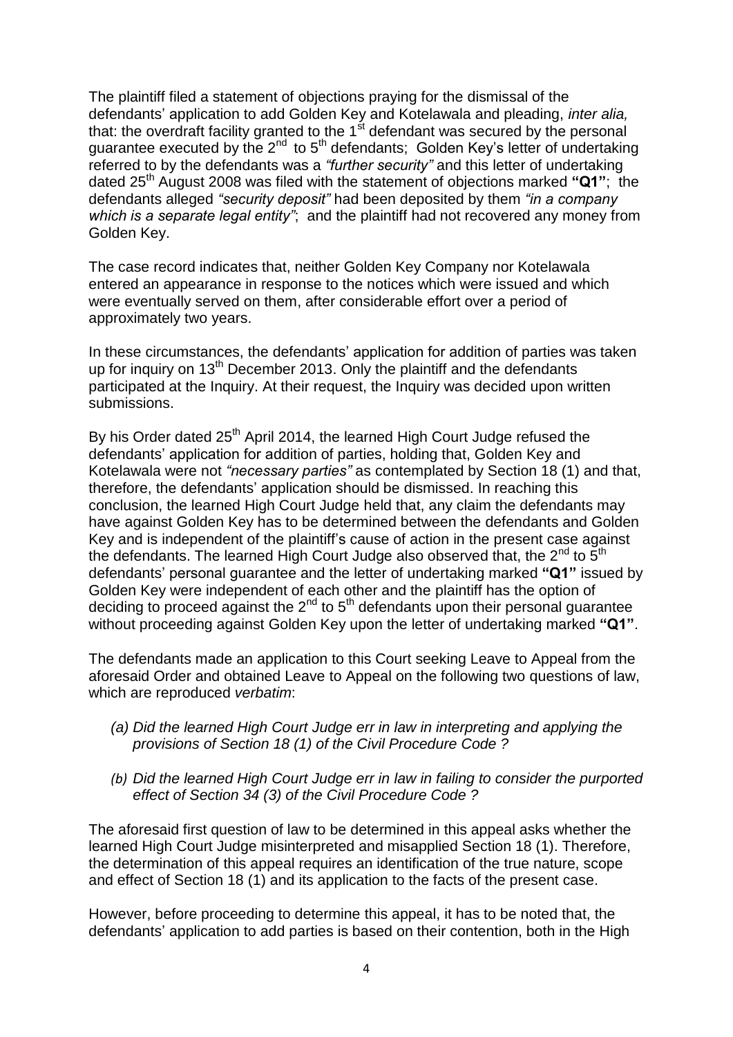The plaintiff filed a statement of objections praying for the dismissal of the defendants" application to add Golden Key and Kotelawala and pleading, *inter alia,*  that: the overdraft facility granted to the  $1<sup>st</sup>$  defendant was secured by the personal guarantee executed by the  $2^{nd}$  to  $5^{th}$  defendants; Golden Key's letter of undertaking referred to by the defendants was a *"further security"* and this letter of undertaking dated 25th August 2008 was filed with the statement of objections marked **"Q1"**; the defendants alleged *"security deposit"* had been deposited by them *"in a company which is a separate legal entity"*; and the plaintiff had not recovered any money from Golden Key.

The case record indicates that, neither Golden Key Company nor Kotelawala entered an appearance in response to the notices which were issued and which were eventually served on them, after considerable effort over a period of approximately two years.

In these circumstances, the defendants' application for addition of parties was taken up for inquiry on 13<sup>th</sup> December 2013. Only the plaintiff and the defendants participated at the Inquiry. At their request, the Inquiry was decided upon written submissions.

By his Order dated  $25<sup>th</sup>$  April 2014, the learned High Court Judge refused the defendants" application for addition of parties, holding that, Golden Key and Kotelawala were not *"necessary parties"* as contemplated by Section 18 (1) and that, therefore, the defendants" application should be dismissed. In reaching this conclusion, the learned High Court Judge held that, any claim the defendants may have against Golden Key has to be determined between the defendants and Golden Key and is independent of the plaintiff"s cause of action in the present case against the defendants. The learned High Court Judge also observed that, the  $2^{nd}$  to  $5^{th}$ defendants" personal guarantee and the letter of undertaking marked **"Q1"** issued by Golden Key were independent of each other and the plaintiff has the option of deciding to proceed against the  $2<sup>nd</sup>$  to  $5<sup>th</sup>$  defendants upon their personal guarantee without proceeding against Golden Key upon the letter of undertaking marked **"Q1"**.

The defendants made an application to this Court seeking Leave to Appeal from the aforesaid Order and obtained Leave to Appeal on the following two questions of law, which are reproduced *verbatim*:

- *(a) Did the learned High Court Judge err in law in interpreting and applying the provisions of Section 18 (1) of the Civil Procedure Code ?*
- *(b) Did the learned High Court Judge err in law in failing to consider the purported effect of Section 34 (3) of the Civil Procedure Code ?*

The aforesaid first question of law to be determined in this appeal asks whether the learned High Court Judge misinterpreted and misapplied Section 18 (1). Therefore, the determination of this appeal requires an identification of the true nature, scope and effect of Section 18 (1) and its application to the facts of the present case.

However, before proceeding to determine this appeal, it has to be noted that, the defendants" application to add parties is based on their contention, both in the High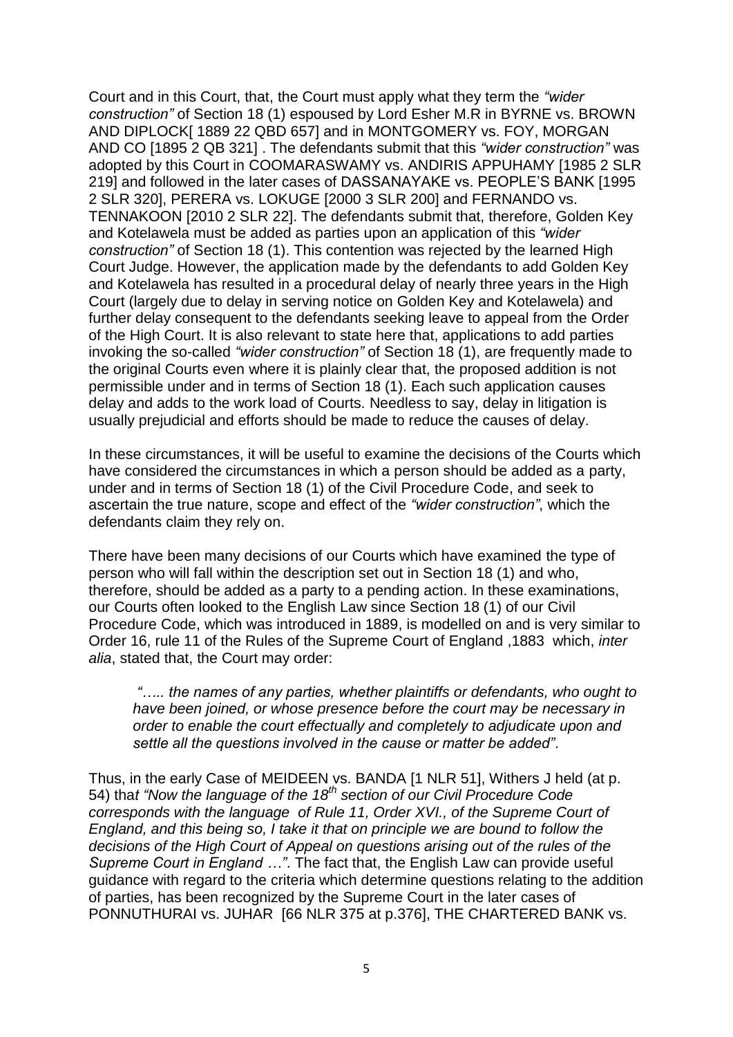Court and in this Court, that, the Court must apply what they term the *"wider construction"* of Section 18 (1) espoused by Lord Esher M.R in BYRNE vs. BROWN AND DIPLOCK[ 1889 22 QBD 657] and in MONTGOMERY vs. FOY, MORGAN AND CO [1895 2 QB 321] . The defendants submit that this *"wider construction"* was adopted by this Court in COOMARASWAMY vs. ANDIRIS APPUHAMY [1985 2 SLR 219] and followed in the later cases of DASSANAYAKE vs. PEOPLE"S BANK [1995 2 SLR 320], PERERA vs. LOKUGE [2000 3 SLR 200] and FERNANDO vs. TENNAKOON [2010 2 SLR 22]. The defendants submit that, therefore, Golden Key and Kotelawela must be added as parties upon an application of this *"wider construction"* of Section 18 (1). This contention was rejected by the learned High Court Judge. However, the application made by the defendants to add Golden Key and Kotelawela has resulted in a procedural delay of nearly three years in the High Court (largely due to delay in serving notice on Golden Key and Kotelawela) and further delay consequent to the defendants seeking leave to appeal from the Order of the High Court. It is also relevant to state here that, applications to add parties invoking the so-called *"wider construction"* of Section 18 (1), are frequently made to the original Courts even where it is plainly clear that, the proposed addition is not permissible under and in terms of Section 18 (1). Each such application causes delay and adds to the work load of Courts. Needless to say, delay in litigation is usually prejudicial and efforts should be made to reduce the causes of delay.

In these circumstances, it will be useful to examine the decisions of the Courts which have considered the circumstances in which a person should be added as a party, under and in terms of Section 18 (1) of the Civil Procedure Code, and seek to ascertain the true nature, scope and effect of the *"wider construction"*, which the defendants claim they rely on.

There have been many decisions of our Courts which have examined the type of person who will fall within the description set out in Section 18 (1) and who, therefore, should be added as a party to a pending action. In these examinations, our Courts often looked to the English Law since Section 18 (1) of our Civil Procedure Code, which was introduced in 1889, is modelled on and is very similar to Order 16, rule 11 of the Rules of the Supreme Court of England ,1883 which, *inter alia*, stated that, the Court may order:

*"….. the names of any parties, whether plaintiffs or defendants, who ought to have been joined, or whose presence before the court may be necessary in order to enable the court effectually and completely to adjudicate upon and settle all the questions involved in the cause or matter be added"*.

Thus, in the early Case of MEIDEEN vs. BANDA [1 NLR 51], Withers J held (at p. 54) tha*t "Now the language of the 18th section of our Civil Procedure Code corresponds with the language of Rule 11, Order XVI., of the Supreme Court of England, and this being so, I take it that on principle we are bound to follow the decisions of the High Court of Appeal on questions arising out of the rules of the Supreme Court in England …"*. The fact that, the English Law can provide useful guidance with regard to the criteria which determine questions relating to the addition of parties, has been recognized by the Supreme Court in the later cases of PONNUTHURAI vs. JUHAR [66 NLR 375 at p.376], THE CHARTERED BANK vs.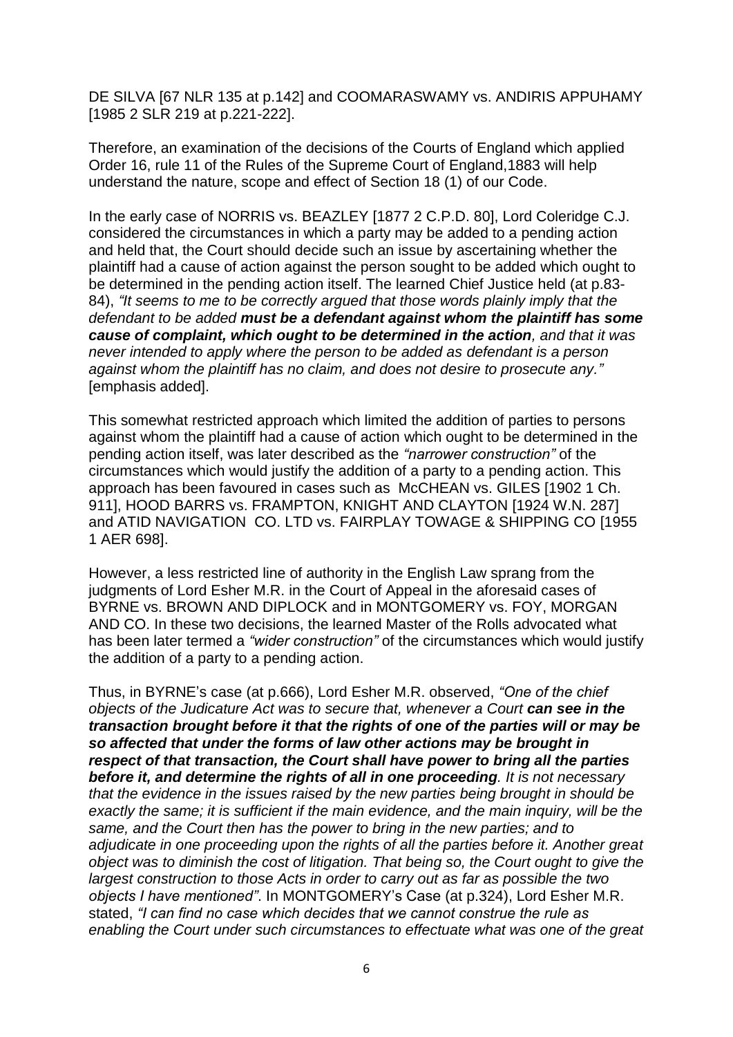DE SILVA [67 NLR 135 at p.142] and COOMARASWAMY vs. ANDIRIS APPUHAMY [1985 2 SLR 219 at p.221-222].

Therefore, an examination of the decisions of the Courts of England which applied Order 16, rule 11 of the Rules of the Supreme Court of England,1883 will help understand the nature, scope and effect of Section 18 (1) of our Code.

In the early case of NORRIS vs. BEAZLEY [1877 2 C.P.D. 80], Lord Coleridge C.J. considered the circumstances in which a party may be added to a pending action and held that, the Court should decide such an issue by ascertaining whether the plaintiff had a cause of action against the person sought to be added which ought to be determined in the pending action itself. The learned Chief Justice held (at p.83- 84), *"It seems to me to be correctly argued that those words plainly imply that the defendant to be added must be a defendant against whom the plaintiff has some cause of complaint, which ought to be determined in the action, and that it was never intended to apply where the person to be added as defendant is a person against whom the plaintiff has no claim, and does not desire to prosecute any."* [emphasis added].

This somewhat restricted approach which limited the addition of parties to persons against whom the plaintiff had a cause of action which ought to be determined in the pending action itself, was later described as the *"narrower construction"* of the circumstances which would justify the addition of a party to a pending action. This approach has been favoured in cases such as McCHEAN vs. GILES [1902 1 Ch. 911], HOOD BARRS vs. FRAMPTON, KNIGHT AND CLAYTON [1924 W.N. 287] and ATID NAVIGATION CO. LTD vs. FAIRPLAY TOWAGE & SHIPPING CO [1955 1 AER 698].

However, a less restricted line of authority in the English Law sprang from the judgments of Lord Esher M.R. in the Court of Appeal in the aforesaid cases of BYRNE vs. BROWN AND DIPLOCK and in MONTGOMERY vs. FOY, MORGAN AND CO. In these two decisions, the learned Master of the Rolls advocated what has been later termed a *"wider construction"* of the circumstances which would justify the addition of a party to a pending action.

Thus, in BYRNE"s case (at p.666), Lord Esher M.R. observed, *"One of the chief objects of the Judicature Act was to secure that, whenever a Court can see in the transaction brought before it that the rights of one of the parties will or may be so affected that under the forms of law other actions may be brought in respect of that transaction, the Court shall have power to bring all the parties before it, and determine the rights of all in one proceeding. It is not necessary that the evidence in the issues raised by the new parties being brought in should be exactly the same; it is sufficient if the main evidence, and the main inquiry, will be the same, and the Court then has the power to bring in the new parties; and to adjudicate in one proceeding upon the rights of all the parties before it. Another great object was to diminish the cost of litigation. That being so, the Court ought to give the largest construction to those Acts in order to carry out as far as possible the two objects I have mentioned"*. In MONTGOMERY"s Case (at p.324), Lord Esher M.R. stated, *"I can find no case which decides that we cannot construe the rule as enabling the Court under such circumstances to effectuate what was one of the great*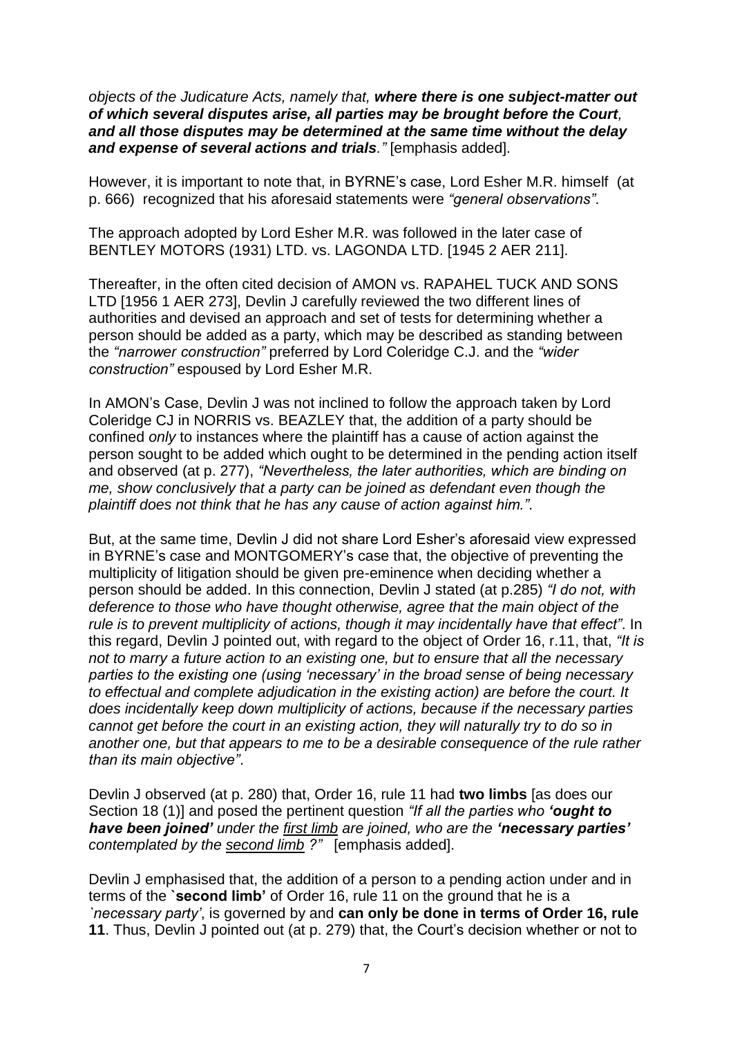*objects of the Judicature Acts, namely that, where there is one subject-matter out of which several disputes arise, all parties may be brought before the Court, and all those disputes may be determined at the same time without the delay and expense of several actions and trials."* [emphasis added].

However, it is important to note that, in BYRNE"s case, Lord Esher M.R. himself (at p. 666) recognized that his aforesaid statements were *"general observations"*.

The approach adopted by Lord Esher M.R. was followed in the later case of BENTLEY MOTORS (1931) LTD. vs. LAGONDA LTD. [1945 2 AER 211].

Thereafter, in the often cited decision of AMON vs. RAPAHEL TUCK AND SONS LTD [1956 1 AER 273], Devlin J carefully reviewed the two different lines of authorities and devised an approach and set of tests for determining whether a person should be added as a party, which may be described as standing between the *"narrower construction"* preferred by Lord Coleridge C.J. and the *"wider construction"* espoused by Lord Esher M.R.

In AMON"s Case, Devlin J was not inclined to follow the approach taken by Lord Coleridge CJ in NORRIS vs. BEAZLEY that, the addition of a party should be confined *only* to instances where the plaintiff has a cause of action against the person sought to be added which ought to be determined in the pending action itself and observed (at p. 277), *"Nevertheless, the later authorities, which are binding on me, show conclusively that a party can be joined as defendant even though the plaintiff does not think that he has any cause of action against him."*.

But, at the same time, Devlin J did not share Lord Esher"s aforesaid view expressed in BYRNE"s case and MONTGOMERY"s case that, the objective of preventing the multiplicity of litigation should be given pre-eminence when deciding whether a person should be added. In this connection, Devlin J stated (at p.285) *"I do not, with deference to those who have thought otherwise, agree that the main object of the rule is to prevent multiplicity of actions, though it may incidentally have that effect"*. In this regard, Devlin J pointed out, with regard to the object of Order 16, r.11, that, *"It is not to marry a future action to an existing one, but to ensure that all the necessary parties to the existing one (using "necessary" in the broad sense of being necessary to effectual and complete adjudication in the existing action) are before the court. It does incidentally keep down multiplicity of actions, because if the necessary parties cannot get before the court in an existing action, they will naturally try to do so in another one, but that appears to me to be a desirable consequence of the rule rather than its main objective"*.

Devlin J observed (at p. 280) that, Order 16, rule 11 had **two limbs** [as does our Section 18 (1)] and posed the pertinent question *"If all the parties who 'ought to have been joined' under the first limb are joined, who are the 'necessary parties' contemplated by the second limb ?"* [emphasis added].

Devlin J emphasised that, the addition of a person to a pending action under and in terms of the **`second limb'** of Order 16, rule 11 on the ground that he is a *`necessary party"*, is governed by and **can only be done in terms of Order 16, rule 11**. Thus, Devlin J pointed out (at p. 279) that, the Court"s decision whether or not to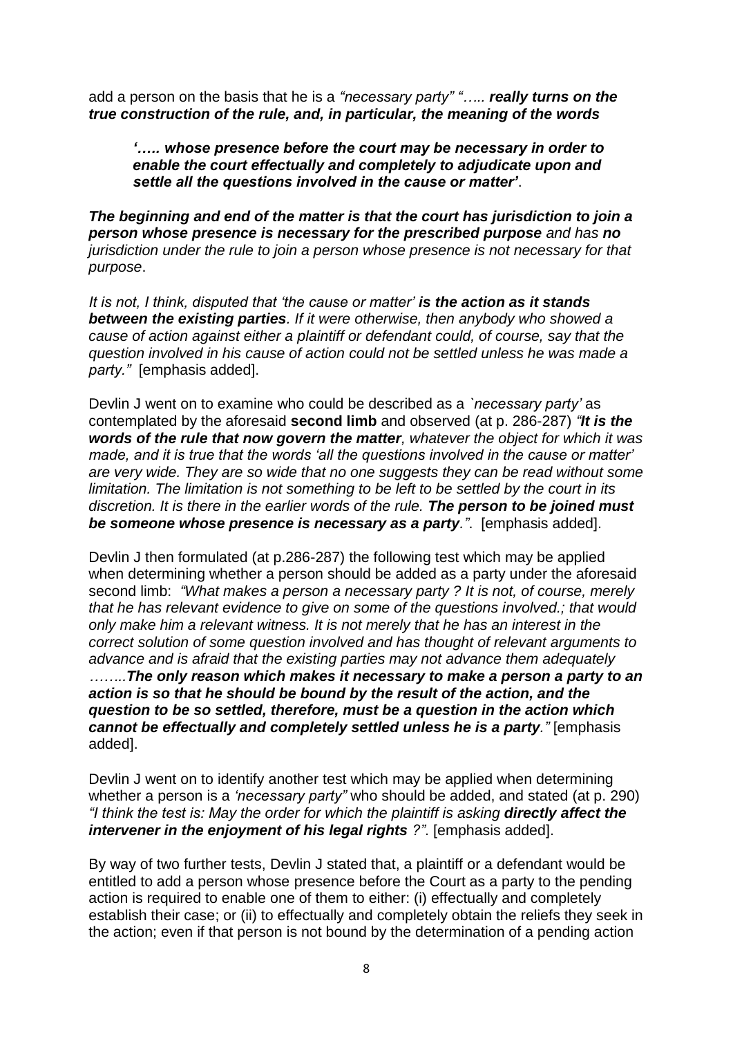add a person on the basis that he is a *"necessary party" "….. really turns on the true construction of the rule, and, in particular, the meaning of the words* 

*'….. whose presence before the court may be necessary in order to enable the court effectually and completely to adjudicate upon and settle all the questions involved in the cause or matter'*.

*The beginning and end of the matter is that the court has jurisdiction to join a person whose presence is necessary for the prescribed purpose and has no jurisdiction under the rule to join a person whose presence is not necessary for that purpose*.

*It is not, I think, disputed that "the cause or matter" is the action as it stands between the existing parties. If it were otherwise, then anybody who showed a cause of action against either a plaintiff or defendant could, of course, say that the question involved in his cause of action could not be settled unless he was made a party."* [emphasis added].

Devlin J went on to examine who could be described as a *`necessary party"* as contemplated by the aforesaid **second limb** and observed (at p. 286-287) *"It is the words of the rule that now govern the matter, whatever the object for which it was made, and it is true that the words "all the questions involved in the cause or matter" are very wide. They are so wide that no one suggests they can be read without some limitation. The limitation is not something to be left to be settled by the court in its discretion. It is there in the earlier words of the rule. The person to be joined must be someone whose presence is necessary as a party."*. [emphasis added].

Devlin J then formulated (at p.286-287) the following test which may be applied when determining whether a person should be added as a party under the aforesaid second limb: *"What makes a person a necessary party ? It is not, of course, merely that he has relevant evidence to give on some of the questions involved.; that would only make him a relevant witness. It is not merely that he has an interest in the correct solution of some question involved and has thought of relevant arguments to advance and is afraid that the existing parties may not advance them adequately ……..The only reason which makes it necessary to make a person a party to an action is so that he should be bound by the result of the action, and the question to be so settled, therefore, must be a question in the action which cannot be effectually and completely settled unless he is a party."* [emphasis added].

Devlin J went on to identify another test which may be applied when determining whether a person is a *"necessary party"* who should be added, and stated (at p. 290) *"I think the test is: May the order for which the plaintiff is asking directly affect the intervener in the enjoyment of his legal rights ?".* [emphasis added].

By way of two further tests, Devlin J stated that, a plaintiff or a defendant would be entitled to add a person whose presence before the Court as a party to the pending action is required to enable one of them to either: (i) effectually and completely establish their case; or (ii) to effectually and completely obtain the reliefs they seek in the action; even if that person is not bound by the determination of a pending action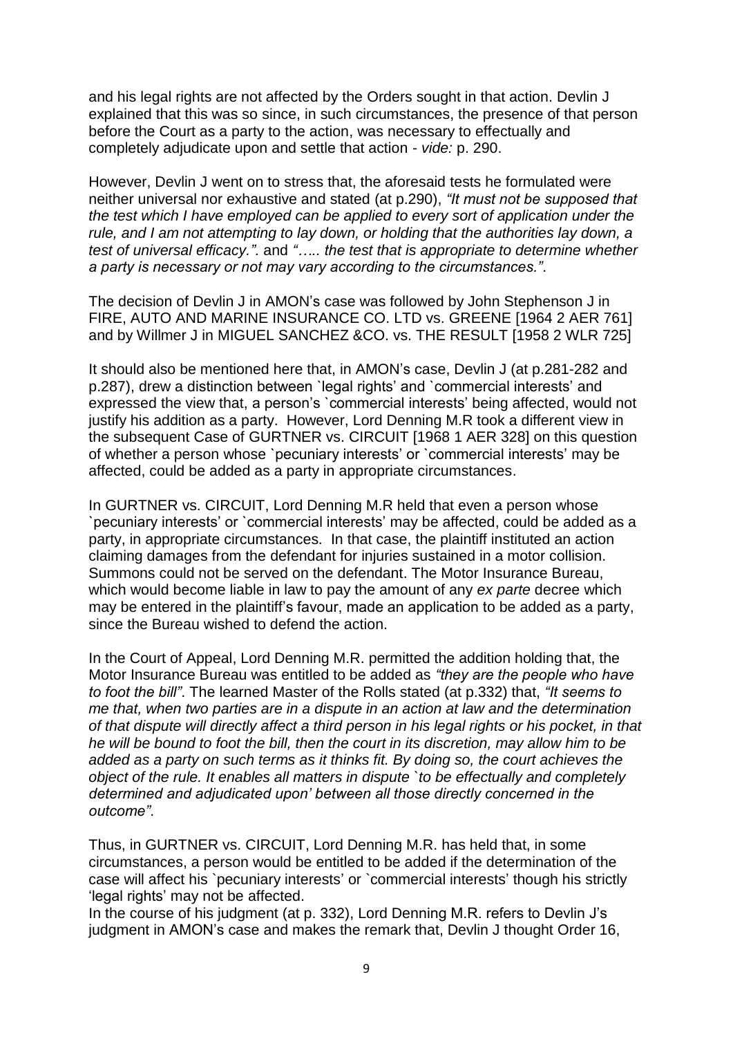and his legal rights are not affected by the Orders sought in that action. Devlin J explained that this was so since, in such circumstances, the presence of that person before the Court as a party to the action, was necessary to effectually and completely adjudicate upon and settle that action - *vide:* p. 290.

However, Devlin J went on to stress that, the aforesaid tests he formulated were neither universal nor exhaustive and stated (at p.290), *"It must not be supposed that the test which I have employed can be applied to every sort of application under the rule, and I am not attempting to lay down, or holding that the authorities lay down, a test of universal efficacy.".* and *"….. the test that is appropriate to determine whether a party is necessary or not may vary according to the circumstances."*.

The decision of Devlin J in AMON"s case was followed by John Stephenson J in FIRE, AUTO AND MARINE INSURANCE CO. LTD vs. GREENE [1964 2 AER 761] and by Willmer J in MIGUEL SANCHEZ &CO. vs. THE RESULT [1958 2 WLR 725]

It should also be mentioned here that, in AMON"s case, Devlin J (at p.281-282 and p.287), drew a distinction between `legal rights" and `commercial interests" and expressed the view that, a person's `commercial interests' being affected, would not justify his addition as a party. However, Lord Denning M.R took a different view in the subsequent Case of GURTNER vs. CIRCUIT [1968 1 AER 328] on this question of whether a person whose `pecuniary interests" or `commercial interests" may be affected, could be added as a party in appropriate circumstances.

In GURTNER vs. CIRCUIT, Lord Denning M.R held that even a person whose `pecuniary interests" or `commercial interests" may be affected, could be added as a party, in appropriate circumstances. In that case, the plaintiff instituted an action claiming damages from the defendant for injuries sustained in a motor collision. Summons could not be served on the defendant. The Motor Insurance Bureau, which would become liable in law to pay the amount of any *ex parte* decree which may be entered in the plaintiff's favour, made an application to be added as a party, since the Bureau wished to defend the action.

In the Court of Appeal, Lord Denning M.R. permitted the addition holding that, the Motor Insurance Bureau was entitled to be added as *"they are the people who have to foot the bill"*. The learned Master of the Rolls stated (at p.332) that, *"It seems to me that, when two parties are in a dispute in an action at law and the determination of that dispute will directly affect a third person in his legal rights or his pocket, in that he will be bound to foot the bill, then the court in its discretion, may allow him to be added as a party on such terms as it thinks fit. By doing so, the court achieves the object of the rule. It enables all matters in dispute `to be effectually and completely determined and adjudicated upon" between all those directly concerned in the outcome"*.

Thus, in GURTNER vs. CIRCUIT, Lord Denning M.R. has held that, in some circumstances, a person would be entitled to be added if the determination of the case will affect his `pecuniary interests' or `commercial interests' though his strictly 'legal rights' may not be affected.

In the course of his judgment (at p. 332), Lord Denning M.R. refers to Devlin J's judgment in AMON"s case and makes the remark that, Devlin J thought Order 16,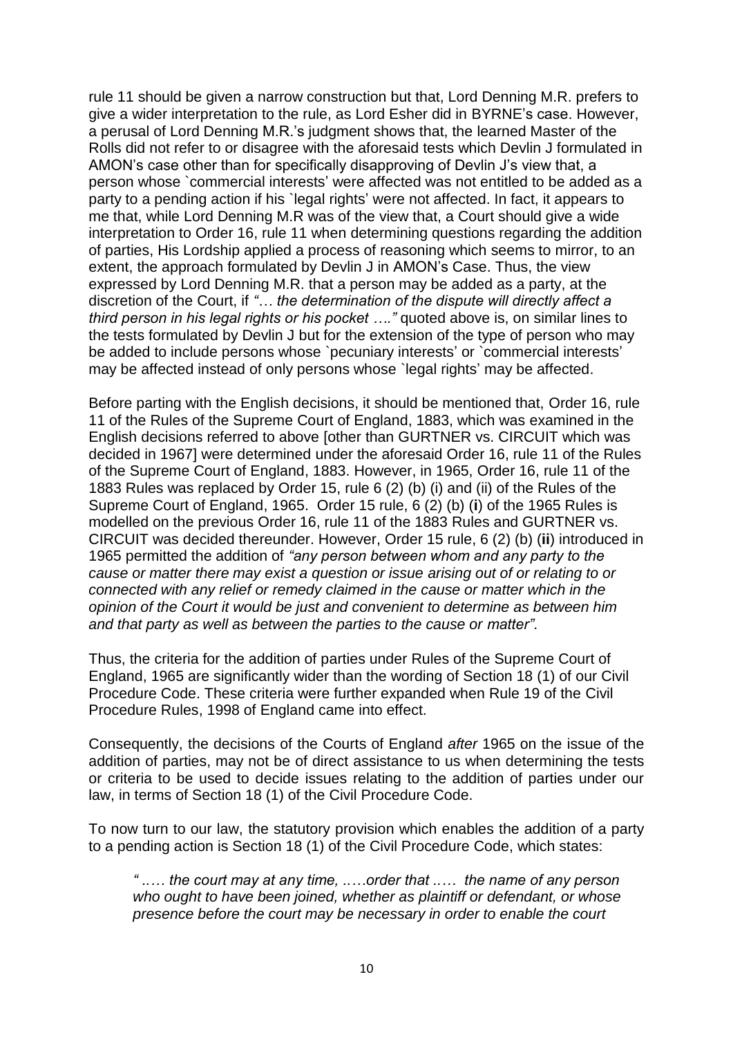rule 11 should be given a narrow construction but that, Lord Denning M.R. prefers to give a wider interpretation to the rule, as Lord Esher did in BYRNE"s case. However, a perusal of Lord Denning M.R."s judgment shows that, the learned Master of the Rolls did not refer to or disagree with the aforesaid tests which Devlin J formulated in AMON"s case other than for specifically disapproving of Devlin J"s view that, a person whose `commercial interests" were affected was not entitled to be added as a party to a pending action if his `legal rights" were not affected. In fact, it appears to me that, while Lord Denning M.R was of the view that, a Court should give a wide interpretation to Order 16, rule 11 when determining questions regarding the addition of parties, His Lordship applied a process of reasoning which seems to mirror, to an extent, the approach formulated by Devlin J in AMON's Case. Thus, the view expressed by Lord Denning M.R. that a person may be added as a party, at the discretion of the Court, if *"… the determination of the dispute will directly affect a third person in his legal rights or his pocket …."* quoted above is, on similar lines to the tests formulated by Devlin J but for the extension of the type of person who may be added to include persons whose `pecuniary interests' or `commercial interests' may be affected instead of only persons whose `legal rights" may be affected.

Before parting with the English decisions, it should be mentioned that, Order 16, rule 11 of the Rules of the Supreme Court of England, 1883, which was examined in the English decisions referred to above [other than GURTNER vs. CIRCUIT which was decided in 1967] were determined under the aforesaid Order 16, rule 11 of the Rules of the Supreme Court of England, 1883. However, in 1965, Order 16, rule 11 of the 1883 Rules was replaced by Order 15, rule 6 (2) (b) (i) and (ii) of the Rules of the Supreme Court of England, 1965. Order 15 rule, 6 (2) (b) (**i**) of the 1965 Rules is modelled on the previous Order 16, rule 11 of the 1883 Rules and GURTNER vs. CIRCUIT was decided thereunder. However, Order 15 rule, 6 (2) (b) (**ii**) introduced in 1965 permitted the addition of *"any person between whom and any party to the cause or matter there may exist a question or issue arising out of or relating to or connected with any relief or remedy claimed in the cause or matter which in the opinion of the Court it would be just and convenient to determine as between him and that party as well as between the parties to the cause or matter"*.

Thus, the criteria for the addition of parties under Rules of the Supreme Court of England, 1965 are significantly wider than the wording of Section 18 (1) of our Civil Procedure Code. These criteria were further expanded when Rule 19 of the Civil Procedure Rules, 1998 of England came into effect.

Consequently, the decisions of the Courts of England *after* 1965 on the issue of the addition of parties, may not be of direct assistance to us when determining the tests or criteria to be used to decide issues relating to the addition of parties under our law, in terms of Section 18 (1) of the Civil Procedure Code.

To now turn to our law, the statutory provision which enables the addition of a party to a pending action is Section 18 (1) of the Civil Procedure Code, which states:

*" ..… the court may at any time, ..…order that ..… the name of any person who ought to have been joined, whether as plaintiff or defendant, or whose presence before the court may be necessary in order to enable the court*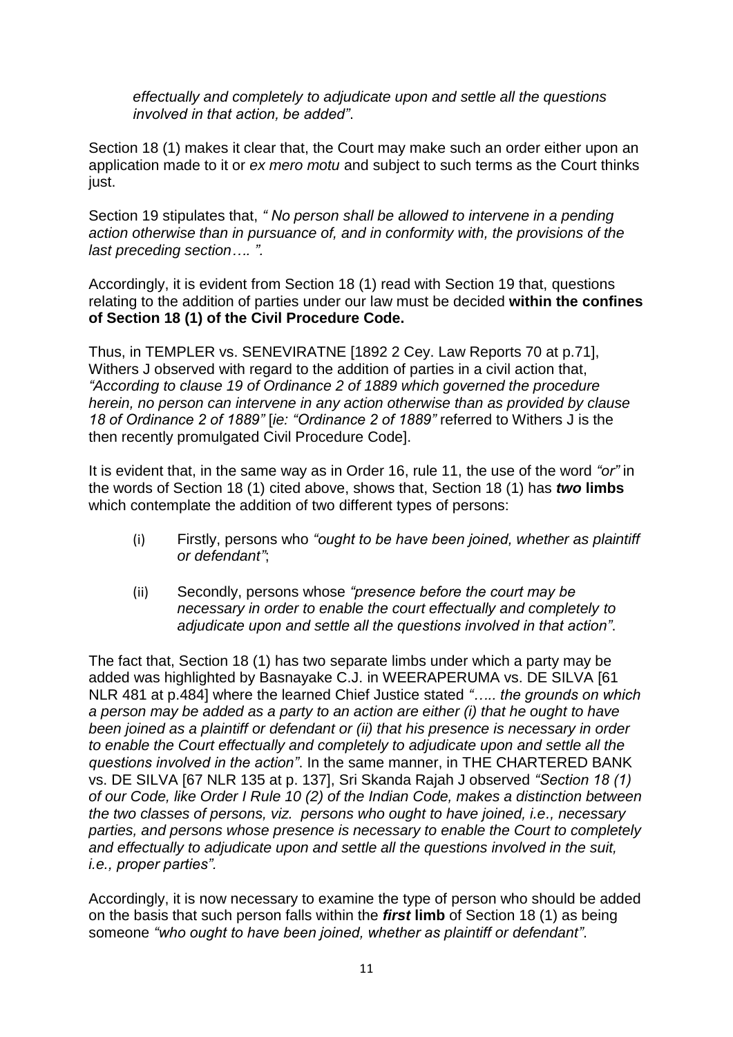*effectually and completely to adjudicate upon and settle all the questions involved in that action, be added"*.

Section 18 (1) makes it clear that, the Court may make such an order either upon an application made to it or *ex mero motu* and subject to such terms as the Court thinks just.

Section 19 stipulates that, *" No person shall be allowed to intervene in a pending action otherwise than in pursuance of, and in conformity with, the provisions of the last preceding section…. ".*

Accordingly, it is evident from Section 18 (1) read with Section 19 that, questions relating to the addition of parties under our law must be decided **within the confines of Section 18 (1) of the Civil Procedure Code.**

Thus, in TEMPLER vs. SENEVIRATNE [1892 2 Cey. Law Reports 70 at p.71], Withers J observed with regard to the addition of parties in a civil action that, *"According to clause 19 of Ordinance 2 of 1889 which governed the procedure herein, no person can intervene in any action otherwise than as provided by clause 18 of Ordinance 2 of 1889"* [*ie: "Ordinance 2 of 1889"* referred to Withers J is the then recently promulgated Civil Procedure Code].

It is evident that, in the same way as in Order 16, rule 11, the use of the word *"or"* in the words of Section 18 (1) cited above, shows that, Section 18 (1) has *two* **limbs** which contemplate the addition of two different types of persons:

- (i) Firstly, persons who *"ought to be have been joined, whether as plaintiff or defendant"*;
- (ii) Secondly, persons whose *"presence before the court may be necessary in order to enable the court effectually and completely to adjudicate upon and settle all the questions involved in that action"*.

The fact that, Section 18 (1) has two separate limbs under which a party may be added was highlighted by Basnayake C.J. in WEERAPERUMA vs. DE SILVA [61 NLR 481 at p.484] where the learned Chief Justice stated *"….. the grounds on which a person may be added as a party to an action are either (i) that he ought to have been joined as a plaintiff or defendant or (ii) that his presence is necessary in order to enable the Court effectually and completely to adjudicate upon and settle all the questions involved in the action"*. In the same manner, in THE CHARTERED BANK vs. DE SILVA [67 NLR 135 at p. 137], Sri Skanda Rajah J observed *"Section 18 (1) of our Code, like Order I Rule 10 (2) of the Indian Code, makes a distinction between the two classes of persons, viz. persons who ought to have joined, i.e., necessary parties, and persons whose presence is necessary to enable the Court to completely and effectually to adjudicate upon and settle all the questions involved in the suit, i.e., proper parties".* 

Accordingly, it is now necessary to examine the type of person who should be added on the basis that such person falls within the *first* **limb** of Section 18 (1) as being someone *"who ought to have been joined, whether as plaintiff or defendant"*.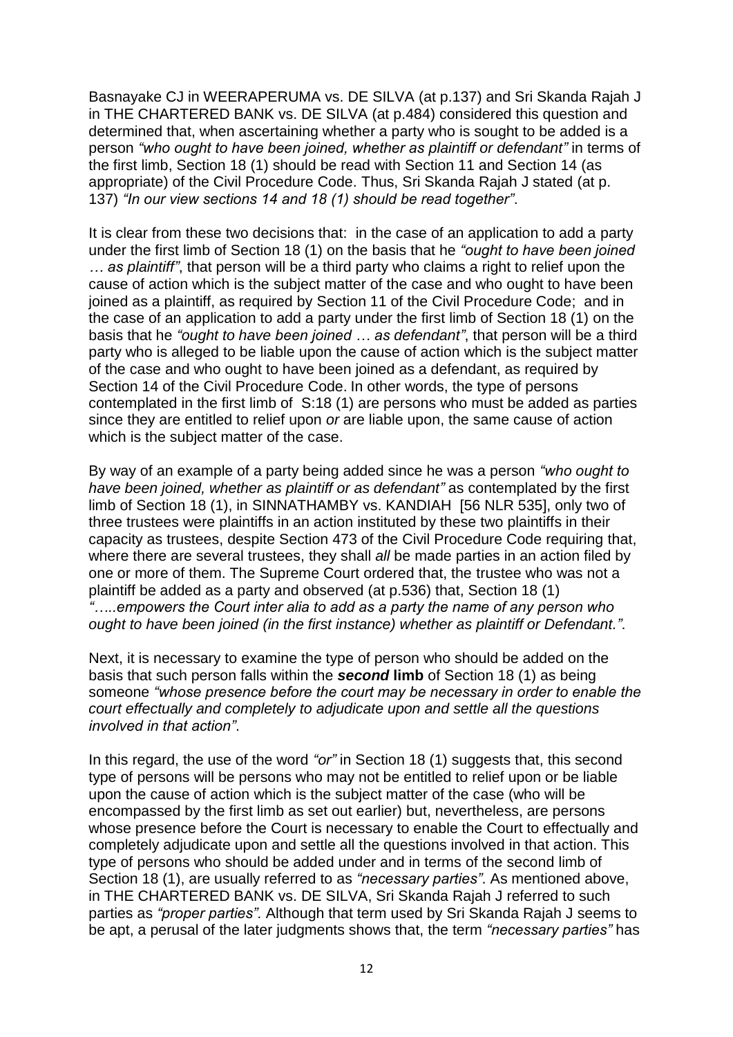Basnayake CJ in WEERAPERUMA vs. DE SILVA (at p.137) and Sri Skanda Rajah J in THE CHARTERED BANK vs. DE SILVA (at p.484) considered this question and determined that, when ascertaining whether a party who is sought to be added is a person *"who ought to have been joined, whether as plaintiff or defendant"* in terms of the first limb, Section 18 (1) should be read with Section 11 and Section 14 (as appropriate) of the Civil Procedure Code. Thus, Sri Skanda Rajah J stated (at p. 137) *"In our view sections 14 and 18 (1) should be read together"*.

It is clear from these two decisions that: in the case of an application to add a party under the first limb of Section 18 (1) on the basis that he *"ought to have been joined … as plaintiff"*, that person will be a third party who claims a right to relief upon the cause of action which is the subject matter of the case and who ought to have been joined as a plaintiff, as required by Section 11 of the Civil Procedure Code; and in the case of an application to add a party under the first limb of Section 18 (1) on the basis that he *"ought to have been joined … as defendant"*, that person will be a third party who is alleged to be liable upon the cause of action which is the subject matter of the case and who ought to have been joined as a defendant, as required by Section 14 of the Civil Procedure Code. In other words, the type of persons contemplated in the first limb of S:18 (1) are persons who must be added as parties since they are entitled to relief upon *or* are liable upon, the same cause of action which is the subject matter of the case.

By way of an example of a party being added since he was a person *"who ought to have been joined, whether as plaintiff or as defendant"* as contemplated by the first limb of Section 18 (1), in SINNATHAMBY vs. KANDIAH [56 NLR 535], only two of three trustees were plaintiffs in an action instituted by these two plaintiffs in their capacity as trustees, despite Section 473 of the Civil Procedure Code requiring that, where there are several trustees, they shall *all* be made parties in an action filed by one or more of them. The Supreme Court ordered that, the trustee who was not a plaintiff be added as a party and observed (at p.536) that, Section 18 (1) *"…..empowers the Court inter alia to add as a party the name of any person who ought to have been joined (in the first instance) whether as plaintiff or Defendant."*.

Next, it is necessary to examine the type of person who should be added on the basis that such person falls within the *second* **limb** of Section 18 (1) as being someone *"whose presence before the court may be necessary in order to enable the court effectually and completely to adjudicate upon and settle all the questions involved in that action"*.

In this regard, the use of the word *"or"* in Section 18 (1) suggests that, this second type of persons will be persons who may not be entitled to relief upon or be liable upon the cause of action which is the subject matter of the case (who will be encompassed by the first limb as set out earlier) but, nevertheless, are persons whose presence before the Court is necessary to enable the Court to effectually and completely adjudicate upon and settle all the questions involved in that action. This type of persons who should be added under and in terms of the second limb of Section 18 (1), are usually referred to as *"necessary parties"*. As mentioned above, in THE CHARTERED BANK vs. DE SILVA, Sri Skanda Rajah J referred to such parties as *"proper parties".* Although that term used by Sri Skanda Rajah J seems to be apt, a perusal of the later judgments shows that, the term *"necessary parties"* has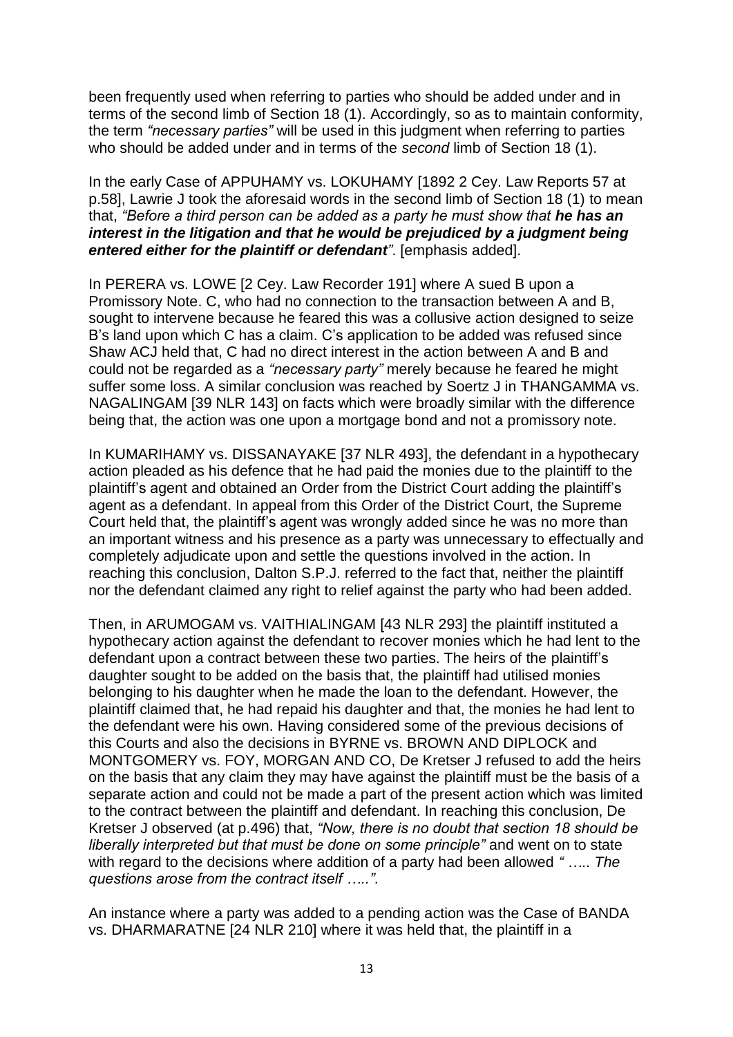been frequently used when referring to parties who should be added under and in terms of the second limb of Section 18 (1). Accordingly, so as to maintain conformity, the term *"necessary parties"* will be used in this judgment when referring to parties who should be added under and in terms of the *second* limb of Section 18 (1).

In the early Case of APPUHAMY vs. LOKUHAMY [1892 2 Cey. Law Reports 57 at p.58], Lawrie J took the aforesaid words in the second limb of Section 18 (1) to mean that, *"Before a third person can be added as a party he must show that he has an interest in the litigation and that he would be prejudiced by a judgment being entered either for the plaintiff or defendant"*. [emphasis added].

In PERERA vs. LOWE [2 Cey. Law Recorder 191] where A sued B upon a Promissory Note. C, who had no connection to the transaction between A and B, sought to intervene because he feared this was a collusive action designed to seize B"s land upon which C has a claim. C"s application to be added was refused since Shaw ACJ held that, C had no direct interest in the action between A and B and could not be regarded as a *"necessary party"* merely because he feared he might suffer some loss. A similar conclusion was reached by Soertz J in THANGAMMA vs. NAGALINGAM [39 NLR 143] on facts which were broadly similar with the difference being that, the action was one upon a mortgage bond and not a promissory note.

In KUMARIHAMY vs. DISSANAYAKE [37 NLR 493], the defendant in a hypothecary action pleaded as his defence that he had paid the monies due to the plaintiff to the plaintiff"s agent and obtained an Order from the District Court adding the plaintiff"s agent as a defendant. In appeal from this Order of the District Court, the Supreme Court held that, the plaintiff"s agent was wrongly added since he was no more than an important witness and his presence as a party was unnecessary to effectually and completely adjudicate upon and settle the questions involved in the action. In reaching this conclusion, Dalton S.P.J. referred to the fact that, neither the plaintiff nor the defendant claimed any right to relief against the party who had been added.

Then, in ARUMOGAM vs. VAITHIALINGAM [43 NLR 293] the plaintiff instituted a hypothecary action against the defendant to recover monies which he had lent to the defendant upon a contract between these two parties. The heirs of the plaintiff"s daughter sought to be added on the basis that, the plaintiff had utilised monies belonging to his daughter when he made the loan to the defendant. However, the plaintiff claimed that, he had repaid his daughter and that, the monies he had lent to the defendant were his own. Having considered some of the previous decisions of this Courts and also the decisions in BYRNE vs. BROWN AND DIPLOCK and MONTGOMERY vs. FOY, MORGAN AND CO, De Kretser J refused to add the heirs on the basis that any claim they may have against the plaintiff must be the basis of a separate action and could not be made a part of the present action which was limited to the contract between the plaintiff and defendant. In reaching this conclusion, De Kretser J observed (at p.496) that, *"Now, there is no doubt that section 18 should be liberally interpreted but that must be done on some principle"* and went on to state with regard to the decisions where addition of a party had been allowed *" ….. The questions arose from the contract itself ….."*.

An instance where a party was added to a pending action was the Case of BANDA vs. DHARMARATNE [24 NLR 210] where it was held that, the plaintiff in a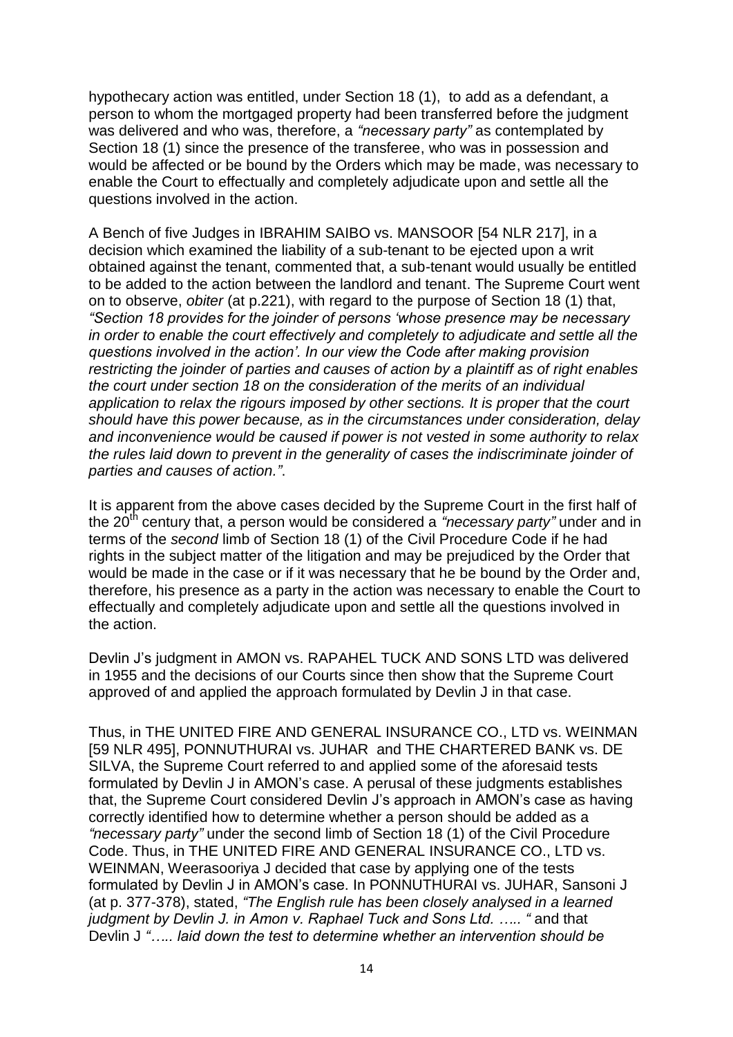hypothecary action was entitled, under Section 18 (1), to add as a defendant, a person to whom the mortgaged property had been transferred before the judgment was delivered and who was, therefore, a *"necessary party"* as contemplated by Section 18 (1) since the presence of the transferee, who was in possession and would be affected or be bound by the Orders which may be made, was necessary to enable the Court to effectually and completely adjudicate upon and settle all the questions involved in the action.

A Bench of five Judges in IBRAHIM SAIBO vs. MANSOOR [54 NLR 217], in a decision which examined the liability of a sub-tenant to be ejected upon a writ obtained against the tenant, commented that, a sub-tenant would usually be entitled to be added to the action between the landlord and tenant. The Supreme Court went on to observe, *obiter* (at p.221), with regard to the purpose of Section 18 (1) that, *"Section 18 provides for the joinder of persons "whose presence may be necessary in order to enable the court effectively and completely to adjudicate and settle all the questions involved in the action". In our view the Code after making provision restricting the joinder of parties and causes of action by a plaintiff as of right enables the court under section 18 on the consideration of the merits of an individual application to relax the rigours imposed by other sections. It is proper that the court should have this power because, as in the circumstances under consideration, delay and inconvenience would be caused if power is not vested in some authority to relax the rules laid down to prevent in the generality of cases the indiscriminate joinder of parties and causes of action."*.

It is apparent from the above cases decided by the Supreme Court in the first half of the 20<sup>th</sup> century that, a person would be considered a *"necessary party"* under and in terms of the *second* limb of Section 18 (1) of the Civil Procedure Code if he had rights in the subject matter of the litigation and may be prejudiced by the Order that would be made in the case or if it was necessary that he be bound by the Order and, therefore, his presence as a party in the action was necessary to enable the Court to effectually and completely adjudicate upon and settle all the questions involved in the action.

Devlin J"s judgment in AMON vs. RAPAHEL TUCK AND SONS LTD was delivered in 1955 and the decisions of our Courts since then show that the Supreme Court approved of and applied the approach formulated by Devlin J in that case.

Thus, in THE UNITED FIRE AND GENERAL INSURANCE CO., LTD vs. WEINMAN [59 NLR 495], PONNUTHURAI vs. JUHAR and THE CHARTERED BANK vs. DE SILVA, the Supreme Court referred to and applied some of the aforesaid tests formulated by Devlin J in AMON"s case. A perusal of these judgments establishes that, the Supreme Court considered Devlin J"s approach in AMON"s case as having correctly identified how to determine whether a person should be added as a *"necessary party"* under the second limb of Section 18 (1) of the Civil Procedure Code. Thus, in THE UNITED FIRE AND GENERAL INSURANCE CO., LTD vs. WEINMAN, Weerasooriya J decided that case by applying one of the tests formulated by Devlin J in AMON"s case. In PONNUTHURAI vs. JUHAR, Sansoni J (at p. 377-378), stated, *"The English rule has been closely analysed in a learned judgment by Devlin J. in Amon v. Raphael Tuck and Sons Ltd. ….. "* and that Devlin J *"….. laid down the test to determine whether an intervention should be*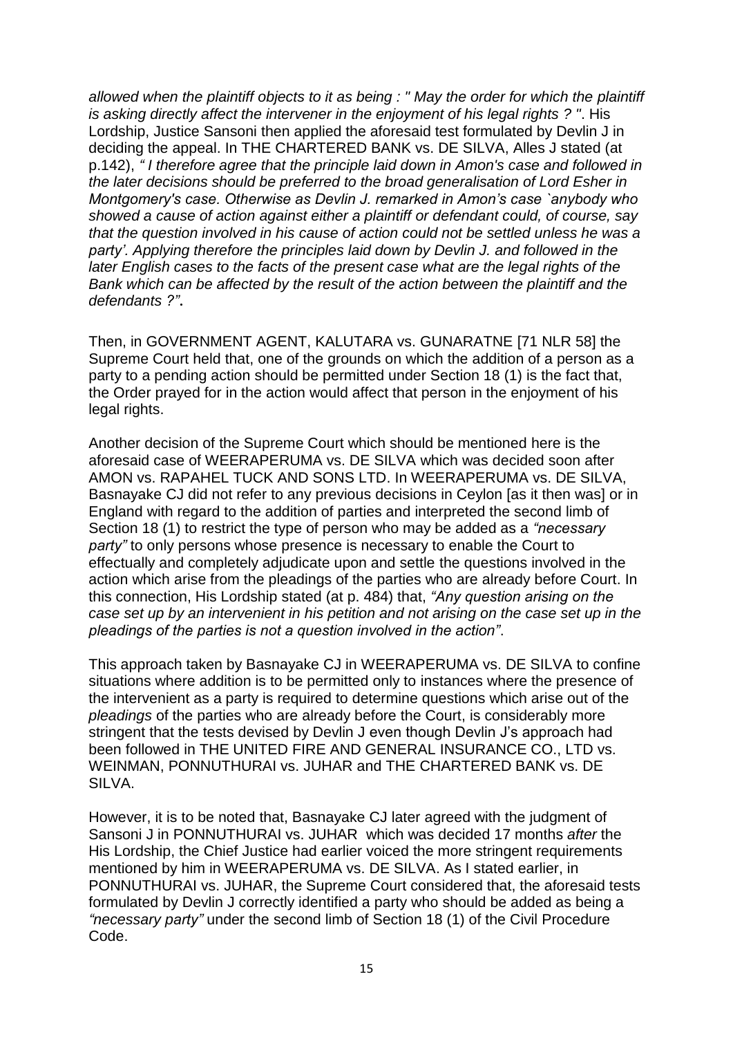*allowed when the plaintiff objects to it as being : " May the order for which the plaintiff is asking directly affect the intervener in the enjoyment of his legal rights ? "*. His Lordship, Justice Sansoni then applied the aforesaid test formulated by Devlin J in deciding the appeal. In THE CHARTERED BANK vs. DE SILVA, Alles J stated (at p.142), *" I therefore agree that the principle laid down in Amon's case and followed in the later decisions should be preferred to the broad generalisation of Lord Esher in Montgomery's case. Otherwise as Devlin J. remarked in Amon"s case `anybody who showed a cause of action against either a plaintiff or defendant could, of course, say that the question involved in his cause of action could not be settled unless he was a party". Applying therefore the principles laid down by Devlin J. and followed in the later English cases to the facts of the present case what are the legal rights of the*  Bank which can be affected by the result of the action between the plaintiff and the *defendants ?"*.

Then, in GOVERNMENT AGENT, KALUTARA vs. GUNARATNE [71 NLR 58] the Supreme Court held that, one of the grounds on which the addition of a person as a party to a pending action should be permitted under Section 18 (1) is the fact that, the Order prayed for in the action would affect that person in the enjoyment of his legal rights.

Another decision of the Supreme Court which should be mentioned here is the aforesaid case of WEERAPERUMA vs. DE SILVA which was decided soon after AMON vs. RAPAHEL TUCK AND SONS LTD. In WEERAPERUMA vs. DE SILVA, Basnayake CJ did not refer to any previous decisions in Ceylon [as it then was] or in England with regard to the addition of parties and interpreted the second limb of Section 18 (1) to restrict the type of person who may be added as a *"necessary party"* to only persons whose presence is necessary to enable the Court to effectually and completely adjudicate upon and settle the questions involved in the action which arise from the pleadings of the parties who are already before Court. In this connection, His Lordship stated (at p. 484) that, *"Any question arising on the case set up by an intervenient in his petition and not arising on the case set up in the pleadings of the parties is not a question involved in the action"*.

This approach taken by Basnayake CJ in WEERAPERUMA vs. DE SILVA to confine situations where addition is to be permitted only to instances where the presence of the intervenient as a party is required to determine questions which arise out of the *pleadings* of the parties who are already before the Court, is considerably more stringent that the tests devised by Devlin J even though Devlin J"s approach had been followed in THE UNITED FIRE AND GENERAL INSURANCE CO., LTD vs. WEINMAN, PONNUTHURAI vs. JUHAR and THE CHARTERED BANK vs. DE SILVA.

However, it is to be noted that, Basnayake CJ later agreed with the judgment of Sansoni J in PONNUTHURAI vs. JUHAR which was decided 17 months *after* the His Lordship, the Chief Justice had earlier voiced the more stringent requirements mentioned by him in WEERAPERUMA vs. DE SILVA. As I stated earlier, in PONNUTHURAI vs. JUHAR, the Supreme Court considered that, the aforesaid tests formulated by Devlin J correctly identified a party who should be added as being a *"necessary party"* under the second limb of Section 18 (1) of the Civil Procedure Code.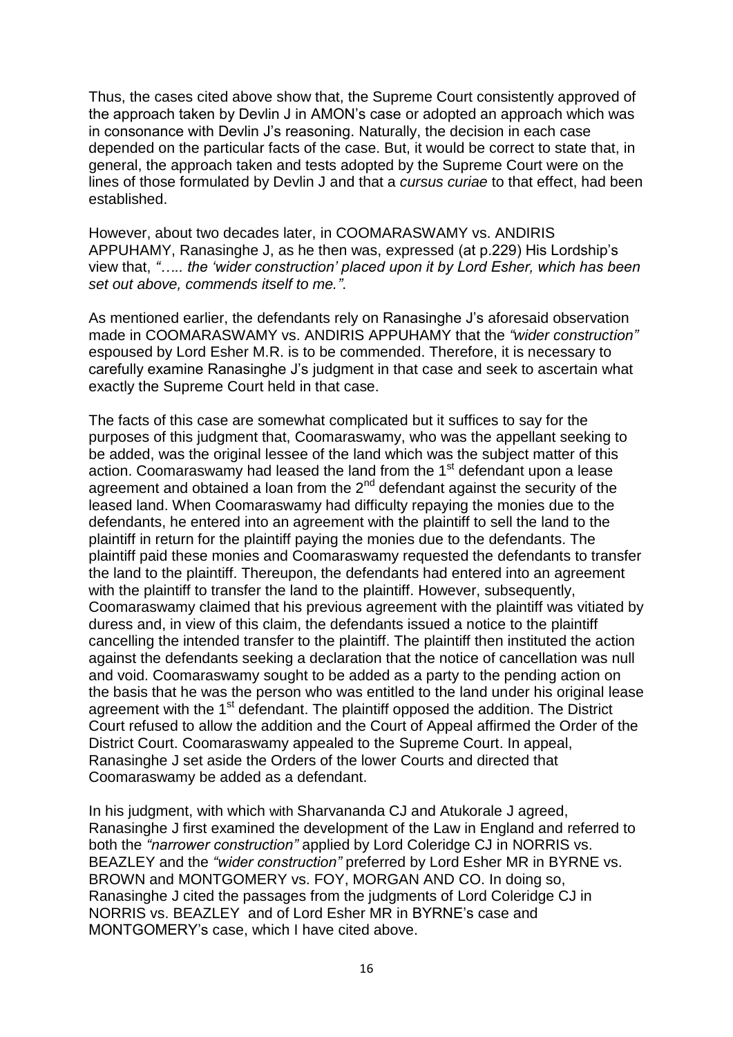Thus, the cases cited above show that, the Supreme Court consistently approved of the approach taken by Devlin J in AMON"s case or adopted an approach which was in consonance with Devlin J"s reasoning. Naturally, the decision in each case depended on the particular facts of the case. But, it would be correct to state that, in general, the approach taken and tests adopted by the Supreme Court were on the lines of those formulated by Devlin J and that a *cursus curiae* to that effect, had been established.

However, about two decades later, in COOMARASWAMY vs. ANDIRIS APPUHAMY, Ranasinghe J, as he then was, expressed (at p.229) His Lordship"s view that, *"….. the "wider construction" placed upon it by Lord Esher, which has been set out above, commends itself to me."*.

As mentioned earlier, the defendants rely on Ranasinghe J"s aforesaid observation made in COOMARASWAMY vs. ANDIRIS APPUHAMY that the *"wider construction"* espoused by Lord Esher M.R. is to be commended. Therefore, it is necessary to carefully examine Ranasinghe J"s judgment in that case and seek to ascertain what exactly the Supreme Court held in that case.

The facts of this case are somewhat complicated but it suffices to say for the purposes of this judgment that, Coomaraswamy, who was the appellant seeking to be added, was the original lessee of the land which was the subject matter of this action. Coomaraswamy had leased the land from the 1<sup>st</sup> defendant upon a lease agreement and obtained a loan from the  $2<sup>nd</sup>$  defendant against the security of the leased land. When Coomaraswamy had difficulty repaying the monies due to the defendants, he entered into an agreement with the plaintiff to sell the land to the plaintiff in return for the plaintiff paying the monies due to the defendants. The plaintiff paid these monies and Coomaraswamy requested the defendants to transfer the land to the plaintiff. Thereupon, the defendants had entered into an agreement with the plaintiff to transfer the land to the plaintiff. However, subsequently, Coomaraswamy claimed that his previous agreement with the plaintiff was vitiated by duress and, in view of this claim, the defendants issued a notice to the plaintiff cancelling the intended transfer to the plaintiff. The plaintiff then instituted the action against the defendants seeking a declaration that the notice of cancellation was null and void. Coomaraswamy sought to be added as a party to the pending action on the basis that he was the person who was entitled to the land under his original lease agreement with the 1<sup>st</sup> defendant. The plaintiff opposed the addition. The District Court refused to allow the addition and the Court of Appeal affirmed the Order of the District Court. Coomaraswamy appealed to the Supreme Court. In appeal, Ranasinghe J set aside the Orders of the lower Courts and directed that Coomaraswamy be added as a defendant.

In his judgment, with which with Sharvananda CJ and Atukorale J agreed, Ranasinghe J first examined the development of the Law in England and referred to both the *"narrower construction"* applied by Lord Coleridge CJ in NORRIS vs. BEAZLEY and the *"wider construction"* preferred by Lord Esher MR in BYRNE vs. BROWN and MONTGOMERY vs. FOY, MORGAN AND CO. In doing so, Ranasinghe J cited the passages from the judgments of Lord Coleridge CJ in NORRIS vs. BEAZLEY and of Lord Esher MR in BYRNE"s case and MONTGOMERY"s case, which I have cited above.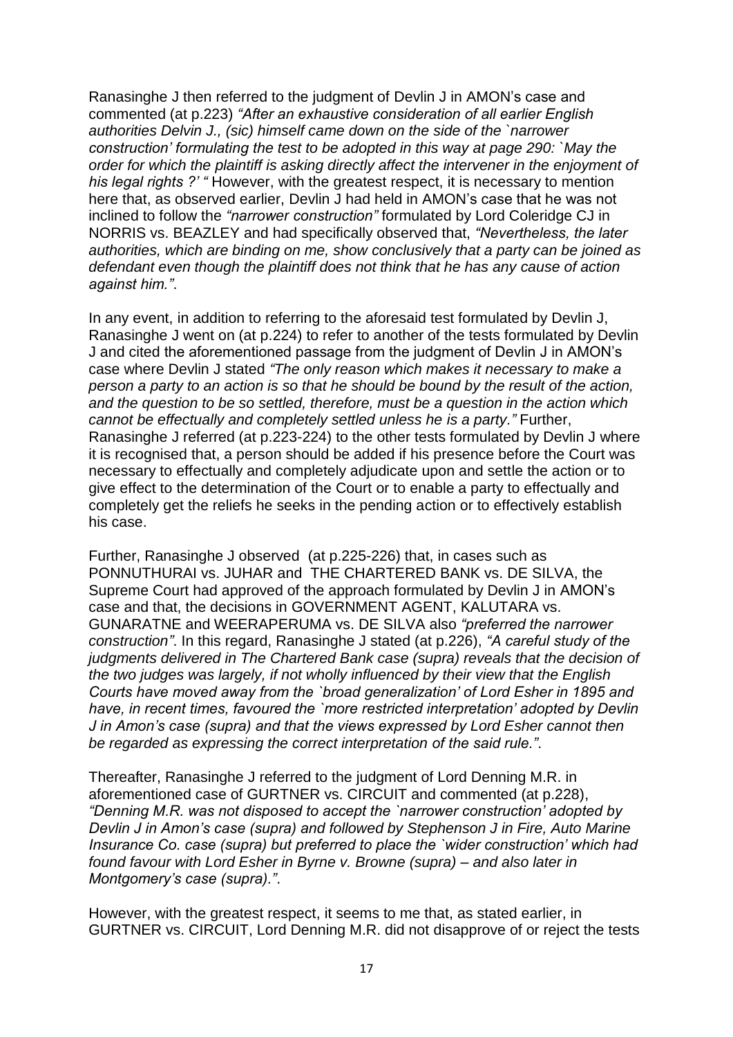Ranasinghe J then referred to the judgment of Devlin J in AMON"s case and commented (at p.223) *"After an exhaustive consideration of all earlier English authorities Delvin J., (sic) himself came down on the side of the `narrower construction" formulating the test to be adopted in this way at page 290: `May the order for which the plaintiff is asking directly affect the intervener in the enjoyment of his legal rights ?" "* However, with the greatest respect, it is necessary to mention here that, as observed earlier, Devlin J had held in AMON"s case that he was not inclined to follow the *"narrower construction"* formulated by Lord Coleridge CJ in NORRIS vs. BEAZLEY and had specifically observed that, *"Nevertheless, the later authorities, which are binding on me, show conclusively that a party can be joined as defendant even though the plaintiff does not think that he has any cause of action against him."*.

In any event, in addition to referring to the aforesaid test formulated by Devlin J, Ranasinghe J went on (at p.224) to refer to another of the tests formulated by Devlin J and cited the aforementioned passage from the judgment of Devlin J in AMON"s case where Devlin J stated *"The only reason which makes it necessary to make a person a party to an action is so that he should be bound by the result of the action, and the question to be so settled, therefore, must be a question in the action which cannot be effectually and completely settled unless he is a party."* Further, Ranasinghe J referred (at p.223-224) to the other tests formulated by Devlin J where it is recognised that, a person should be added if his presence before the Court was necessary to effectually and completely adjudicate upon and settle the action or to give effect to the determination of the Court or to enable a party to effectually and completely get the reliefs he seeks in the pending action or to effectively establish his case.

Further, Ranasinghe J observed (at p.225-226) that, in cases such as PONNUTHURAI vs. JUHAR and THE CHARTERED BANK vs. DE SILVA, the Supreme Court had approved of the approach formulated by Devlin J in AMON"s case and that, the decisions in GOVERNMENT AGENT, KALUTARA vs. GUNARATNE and WEERAPERUMA vs. DE SILVA also *"preferred the narrower construction"*. In this regard, Ranasinghe J stated (at p.226), *"A careful study of the judgments delivered in The Chartered Bank case (supra) reveals that the decision of the two judges was largely, if not wholly influenced by their view that the English Courts have moved away from the `broad generalization" of Lord Esher in 1895 and have, in recent times, favoured the `more restricted interpretation" adopted by Devlin J in Amon"s case (supra) and that the views expressed by Lord Esher cannot then be regarded as expressing the correct interpretation of the said rule."*.

Thereafter, Ranasinghe J referred to the judgment of Lord Denning M.R. in aforementioned case of GURTNER vs. CIRCUIT and commented (at p.228), *"Denning M.R. was not disposed to accept the `narrower construction" adopted by Devlin J in Amon"s case (supra) and followed by Stephenson J in Fire, Auto Marine Insurance Co. case (supra) but preferred to place the `wider construction" which had found favour with Lord Esher in Byrne v. Browne (supra) – and also later in Montgomery"s case (supra)."*.

However, with the greatest respect, it seems to me that, as stated earlier, in GURTNER vs. CIRCUIT, Lord Denning M.R. did not disapprove of or reject the tests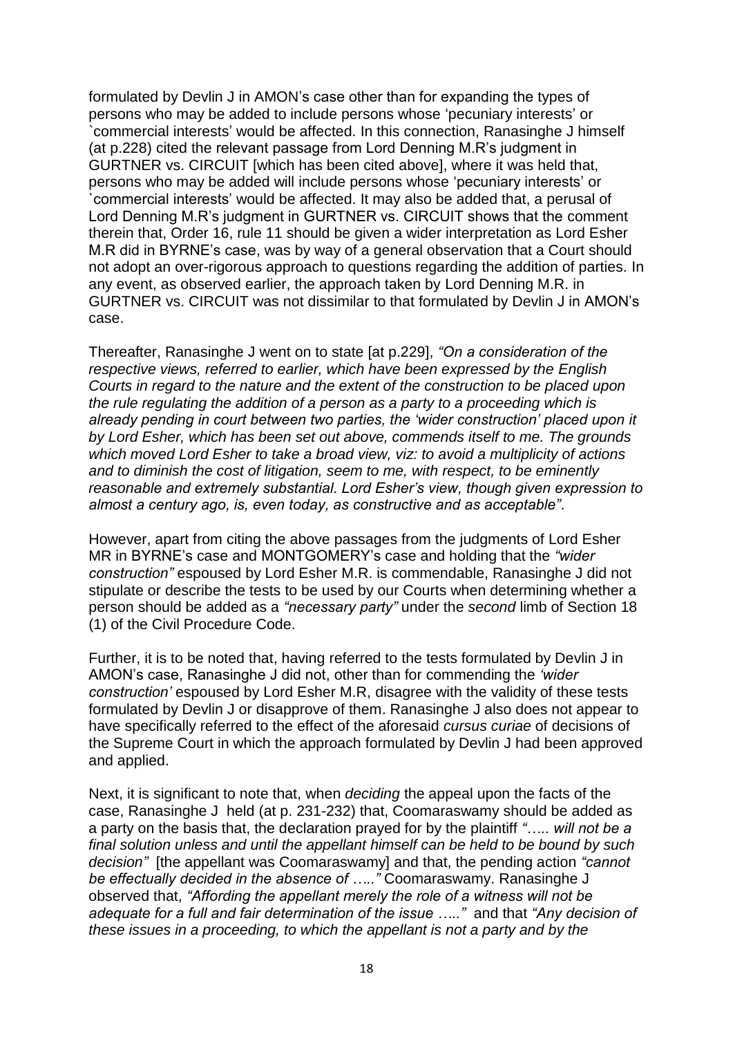formulated by Devlin J in AMON"s case other than for expanding the types of persons who may be added to include persons whose "pecuniary interests" or `commercial interests" would be affected. In this connection, Ranasinghe J himself (at p.228) cited the relevant passage from Lord Denning M.R"s judgment in GURTNER vs. CIRCUIT [which has been cited above], where it was held that, persons who may be added will include persons whose "pecuniary interests" or `commercial interests" would be affected. It may also be added that, a perusal of Lord Denning M.R"s judgment in GURTNER vs. CIRCUIT shows that the comment therein that, Order 16, rule 11 should be given a wider interpretation as Lord Esher M.R did in BYRNE"s case, was by way of a general observation that a Court should not adopt an over-rigorous approach to questions regarding the addition of parties. In any event, as observed earlier, the approach taken by Lord Denning M.R. in GURTNER vs. CIRCUIT was not dissimilar to that formulated by Devlin J in AMON"s case.

Thereafter, Ranasinghe J went on to state [at p.229], *"On a consideration of the respective views, referred to earlier, which have been expressed by the English Courts in regard to the nature and the extent of the construction to be placed upon the rule regulating the addition of a person as a party to a proceeding which is already pending in court between two parties, the "wider construction" placed upon it by Lord Esher, which has been set out above, commends itself to me. The grounds which moved Lord Esher to take a broad view, viz: to avoid a multiplicity of actions and to diminish the cost of litigation, seem to me, with respect, to be eminently reasonable and extremely substantial. Lord Esher"s view, though given expression to almost a century ago, is, even today, as constructive and as acceptable"*.

However, apart from citing the above passages from the judgments of Lord Esher MR in BYRNE"s case and MONTGOMERY"s case and holding that the *"wider construction"* espoused by Lord Esher M.R. is commendable, Ranasinghe J did not stipulate or describe the tests to be used by our Courts when determining whether a person should be added as a *"necessary party"* under the *second* limb of Section 18 (1) of the Civil Procedure Code.

Further, it is to be noted that, having referred to the tests formulated by Devlin J in AMON"s case, Ranasinghe J did not, other than for commending the *"wider construction"* espoused by Lord Esher M.R, disagree with the validity of these tests formulated by Devlin J or disapprove of them. Ranasinghe J also does not appear to have specifically referred to the effect of the aforesaid *cursus curiae* of decisions of the Supreme Court in which the approach formulated by Devlin J had been approved and applied.

Next, it is significant to note that, when *deciding* the appeal upon the facts of the case, Ranasinghe J held (at p. 231-232) that, Coomaraswamy should be added as a party on the basis that, the declaration prayed for by the plaintiff *"….. will not be a final solution unless and until the appellant himself can be held to be bound by such decision"* [the appellant was Coomaraswamy] and that, the pending action *"cannot be effectually decided in the absence of ….."* Coomaraswamy. Ranasinghe J observed that, *"Affording the appellant merely the role of a witness will not be adequate for a full and fair determination of the issue ….."* and that *"Any decision of these issues in a proceeding, to which the appellant is not a party and by the*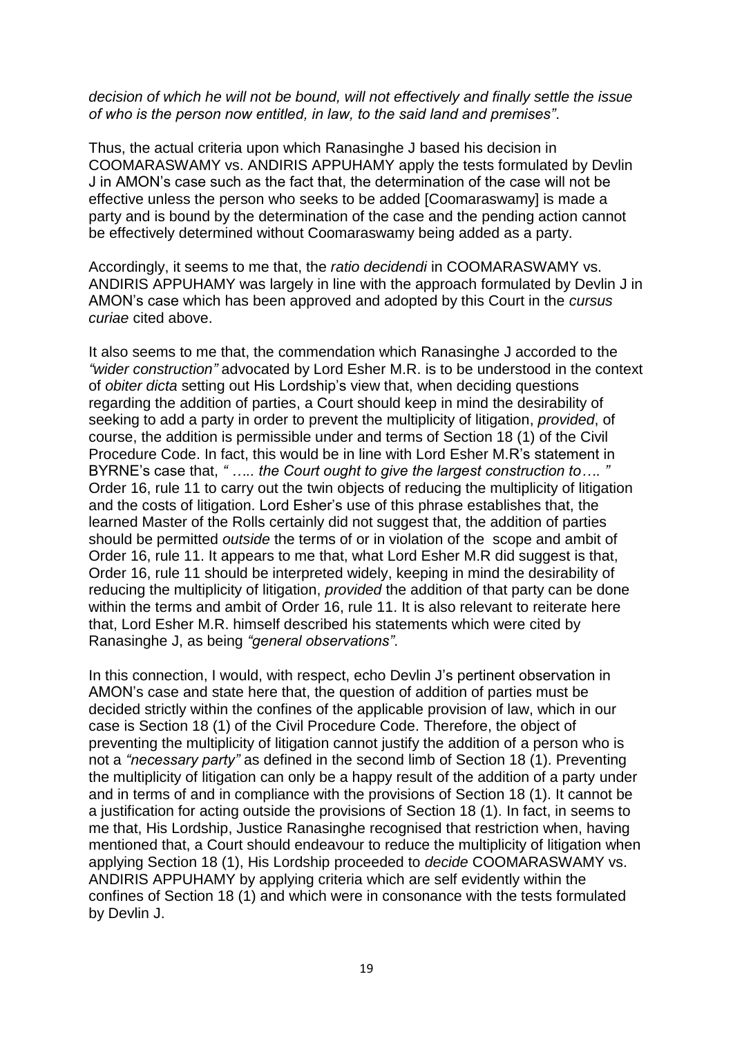#### *decision of which he will not be bound, will not effectively and finally settle the issue of who is the person now entitled, in law, to the said land and premises"*.

Thus, the actual criteria upon which Ranasinghe J based his decision in COOMARASWAMY vs. ANDIRIS APPUHAMY apply the tests formulated by Devlin J in AMON"s case such as the fact that, the determination of the case will not be effective unless the person who seeks to be added [Coomaraswamy] is made a party and is bound by the determination of the case and the pending action cannot be effectively determined without Coomaraswamy being added as a party.

Accordingly, it seems to me that, the *ratio decidendi* in COOMARASWAMY vs. ANDIRIS APPUHAMY was largely in line with the approach formulated by Devlin J in AMON"s case which has been approved and adopted by this Court in the *cursus curiae* cited above.

It also seems to me that, the commendation which Ranasinghe J accorded to the *"wider construction"* advocated by Lord Esher M.R. is to be understood in the context of *obiter dicta* setting out His Lordship"s view that, when deciding questions regarding the addition of parties, a Court should keep in mind the desirability of seeking to add a party in order to prevent the multiplicity of litigation, *provided*, of course, the addition is permissible under and terms of Section 18 (1) of the Civil Procedure Code. In fact, this would be in line with Lord Esher M.R"s statement in BYRNE"s case that, *" ….. the Court ought to give the largest construction to…. "* Order 16, rule 11 to carry out the twin objects of reducing the multiplicity of litigation and the costs of litigation. Lord Esher"s use of this phrase establishes that, the learned Master of the Rolls certainly did not suggest that, the addition of parties should be permitted *outside* the terms of or in violation of the scope and ambit of Order 16, rule 11. It appears to me that, what Lord Esher M.R did suggest is that, Order 16, rule 11 should be interpreted widely, keeping in mind the desirability of reducing the multiplicity of litigation, *provided* the addition of that party can be done within the terms and ambit of Order 16, rule 11. It is also relevant to reiterate here that, Lord Esher M.R. himself described his statements which were cited by Ranasinghe J, as being *"general observations"*.

In this connection, I would, with respect, echo Devlin J's pertinent observation in AMON"s case and state here that, the question of addition of parties must be decided strictly within the confines of the applicable provision of law, which in our case is Section 18 (1) of the Civil Procedure Code. Therefore, the object of preventing the multiplicity of litigation cannot justify the addition of a person who is not a *"necessary party"* as defined in the second limb of Section 18 (1). Preventing the multiplicity of litigation can only be a happy result of the addition of a party under and in terms of and in compliance with the provisions of Section 18 (1). It cannot be a justification for acting outside the provisions of Section 18 (1). In fact, in seems to me that, His Lordship, Justice Ranasinghe recognised that restriction when, having mentioned that, a Court should endeavour to reduce the multiplicity of litigation when applying Section 18 (1), His Lordship proceeded to *decide* COOMARASWAMY vs. ANDIRIS APPUHAMY by applying criteria which are self evidently within the confines of Section 18 (1) and which were in consonance with the tests formulated by Devlin J.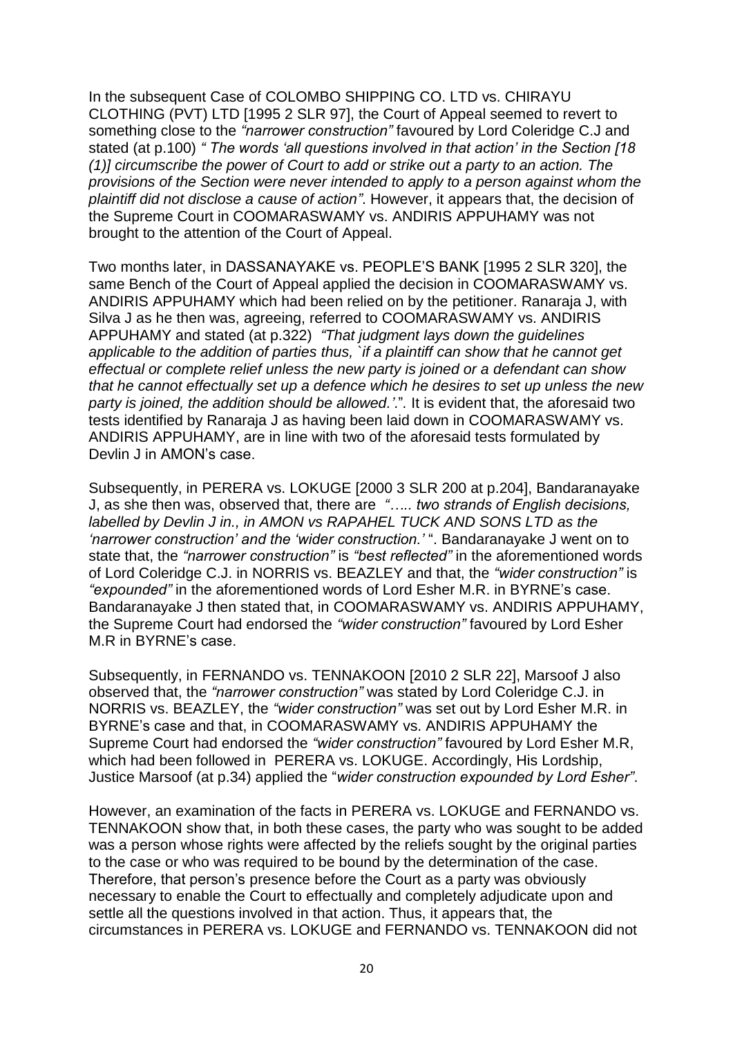In the subsequent Case of COLOMBO SHIPPING CO. LTD vs. CHIRAYU CLOTHING (PVT) LTD [1995 2 SLR 97], the Court of Appeal seemed to revert to something close to the *"narrower construction"* favoured by Lord Coleridge C.J and stated (at p.100) *" The words "all questions involved in that action" in the Section [18 (1)] circumscribe the power of Court to add or strike out a party to an action. The provisions of the Section were never intended to apply to a person against whom the plaintiff did not disclose a cause of action"*. However, it appears that, the decision of the Supreme Court in COOMARASWAMY vs. ANDIRIS APPUHAMY was not brought to the attention of the Court of Appeal.

Two months later, in DASSANAYAKE vs. PEOPLE"S BANK [1995 2 SLR 320], the same Bench of the Court of Appeal applied the decision in COOMARASWAMY vs. ANDIRIS APPUHAMY which had been relied on by the petitioner. Ranaraja J, with Silva J as he then was, agreeing, referred to COOMARASWAMY vs. ANDIRIS APPUHAMY and stated (at p.322) *"That judgment lays down the guidelines applicable to the addition of parties thus, `if a plaintiff can show that he cannot get effectual or complete relief unless the new party is joined or a defendant can show that he cannot effectually set up a defence which he desires to set up unless the new party is joined, the addition should be allowed."*."*.* It is evident that, the aforesaid two tests identified by Ranaraja J as having been laid down in COOMARASWAMY vs. ANDIRIS APPUHAMY, are in line with two of the aforesaid tests formulated by Devlin J in AMON's case.

Subsequently, in PERERA vs. LOKUGE [2000 3 SLR 200 at p.204], Bandaranayake J, as she then was, observed that, there are *"….. two strands of English decisions, labelled by Devlin J in., in AMON vs RAPAHEL TUCK AND SONS LTD as the "narrower construction" and the "wider construction."* ". Bandaranayake J went on to state that, the *"narrower construction"* is *"best reflected"* in the aforementioned words of Lord Coleridge C.J. in NORRIS vs. BEAZLEY and that, the *"wider construction"* is *"expounded"* in the aforementioned words of Lord Esher M.R. in BYRNE"s case. Bandaranayake J then stated that, in COOMARASWAMY vs. ANDIRIS APPUHAMY, the Supreme Court had endorsed the *"wider construction"* favoured by Lord Esher M.R in BYRNE"s case.

Subsequently, in FERNANDO vs. TENNAKOON [2010 2 SLR 22], Marsoof J also observed that, the *"narrower construction"* was stated by Lord Coleridge C.J. in NORRIS vs. BEAZLEY, the *"wider construction"* was set out by Lord Esher M.R. in BYRNE"s case and that, in COOMARASWAMY vs. ANDIRIS APPUHAMY the Supreme Court had endorsed the *"wider construction"* favoured by Lord Esher M.R, which had been followed in PERERA vs. LOKUGE. Accordingly, His Lordship, Justice Marsoof (at p.34) applied the "*wider construction expounded by Lord Esher"*.

However, an examination of the facts in PERERA vs. LOKUGE and FERNANDO vs. TENNAKOON show that, in both these cases, the party who was sought to be added was a person whose rights were affected by the reliefs sought by the original parties to the case or who was required to be bound by the determination of the case. Therefore, that person"s presence before the Court as a party was obviously necessary to enable the Court to effectually and completely adjudicate upon and settle all the questions involved in that action. Thus, it appears that, the circumstances in PERERA vs. LOKUGE and FERNANDO vs. TENNAKOON did not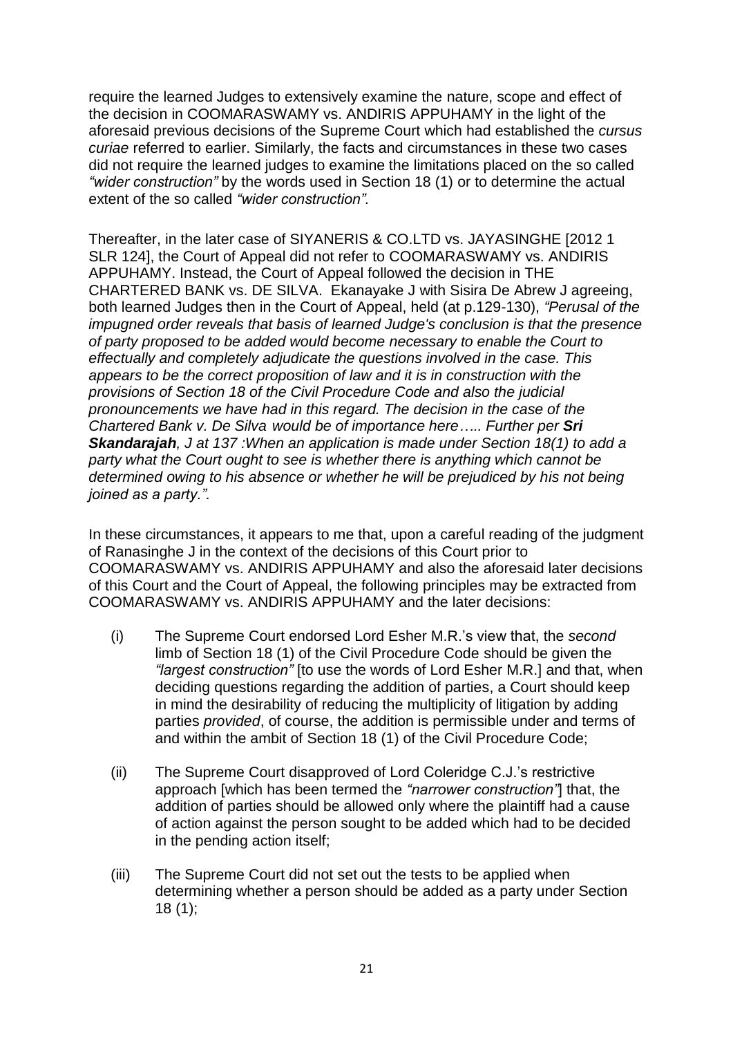require the learned Judges to extensively examine the nature, scope and effect of the decision in COOMARASWAMY vs. ANDIRIS APPUHAMY in the light of the aforesaid previous decisions of the Supreme Court which had established the *cursus curiae* referred to earlier. Similarly, the facts and circumstances in these two cases did not require the learned judges to examine the limitations placed on the so called *"wider construction"* by the words used in Section 18 (1) or to determine the actual extent of the so called *"wider construction".*

Thereafter, in the later case of SIYANERIS & CO.LTD vs. JAYASINGHE [2012 1 SLR 124], the Court of Appeal did not refer to COOMARASWAMY vs. ANDIRIS APPUHAMY. Instead, the Court of Appeal followed the decision in THE CHARTERED BANK vs. DE SILVA. Ekanayake J with Sisira De Abrew J agreeing, both learned Judges then in the Court of Appeal, held (at p.129-130), *"Perusal of the impugned order reveals that basis of learned Judge's conclusion is that the presence of party proposed to be added would become necessary to enable the Court to effectually and completely adjudicate the questions involved in the case. This appears to be the correct proposition of law and it is in construction with the provisions of Section 18 of the Civil Procedure Code and also the judicial pronouncements we have had in this regard. The decision in the case of the Chartered Bank v. De Silva would be of importance here….. Further per Sri Skandarajah, J at 137 :When an application is made under Section 18(1) to add a party what the Court ought to see is whether there is anything which cannot be determined owing to his absence or whether he will be prejudiced by his not being joined as a party.".*

In these circumstances, it appears to me that, upon a careful reading of the judgment of Ranasinghe J in the context of the decisions of this Court prior to COOMARASWAMY vs. ANDIRIS APPUHAMY and also the aforesaid later decisions of this Court and the Court of Appeal, the following principles may be extracted from COOMARASWAMY vs. ANDIRIS APPUHAMY and the later decisions:

- (i) The Supreme Court endorsed Lord Esher M.R."s view that, the *second* limb of Section 18 (1) of the Civil Procedure Code should be given the *"largest construction"* [to use the words of Lord Esher M.R.] and that, when deciding questions regarding the addition of parties, a Court should keep in mind the desirability of reducing the multiplicity of litigation by adding parties *provided*, of course, the addition is permissible under and terms of and within the ambit of Section 18 (1) of the Civil Procedure Code;
- (ii) The Supreme Court disapproved of Lord Coleridge C.J."s restrictive approach [which has been termed the *"narrower construction"*] that, the addition of parties should be allowed only where the plaintiff had a cause of action against the person sought to be added which had to be decided in the pending action itself;
- (iii) The Supreme Court did not set out the tests to be applied when determining whether a person should be added as a party under Section 18 (1);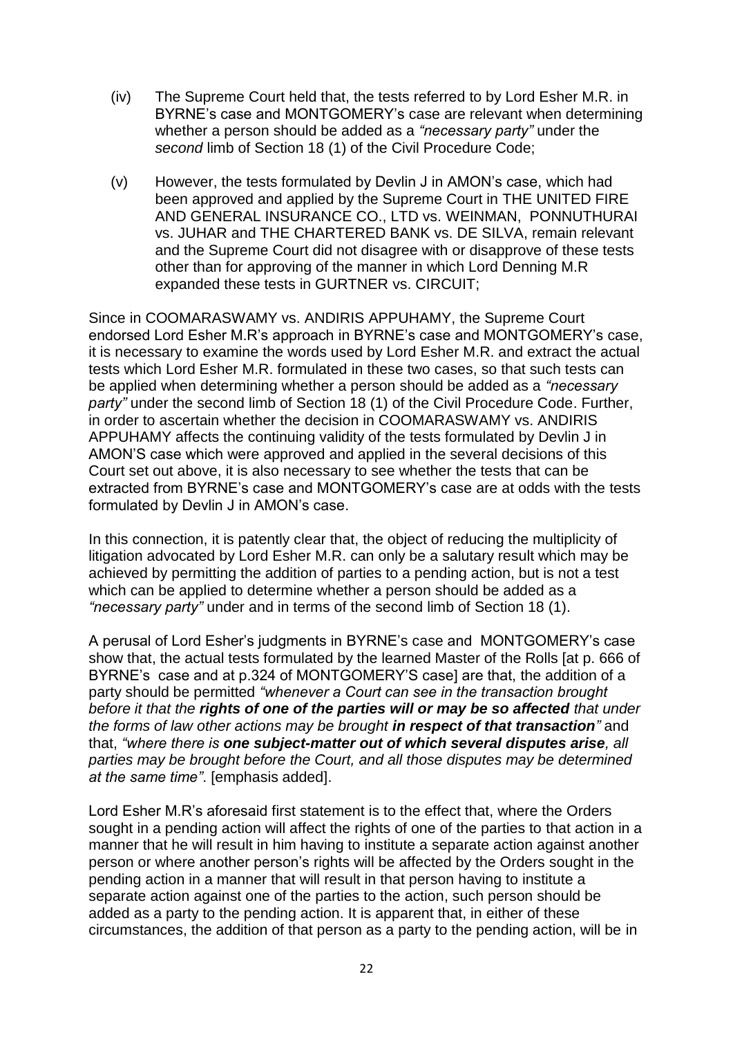- (iv) The Supreme Court held that, the tests referred to by Lord Esher M.R. in BYRNE"s case and MONTGOMERY"s case are relevant when determining whether a person should be added as a *"necessary party"* under the *second* limb of Section 18 (1) of the Civil Procedure Code;
- (v) However, the tests formulated by Devlin J in AMON"s case, which had been approved and applied by the Supreme Court in THE UNITED FIRE AND GENERAL INSURANCE CO., LTD vs. WEINMAN, PONNUTHURAI vs. JUHAR and THE CHARTERED BANK vs. DE SILVA, remain relevant and the Supreme Court did not disagree with or disapprove of these tests other than for approving of the manner in which Lord Denning M.R expanded these tests in GURTNER vs. CIRCUIT;

Since in COOMARASWAMY vs. ANDIRIS APPUHAMY, the Supreme Court endorsed Lord Esher M.R"s approach in BYRNE"s case and MONTGOMERY"s case, it is necessary to examine the words used by Lord Esher M.R. and extract the actual tests which Lord Esher M.R. formulated in these two cases, so that such tests can be applied when determining whether a person should be added as a *"necessary party"* under the second limb of Section 18 (1) of the Civil Procedure Code. Further, in order to ascertain whether the decision in COOMARASWAMY vs. ANDIRIS APPUHAMY affects the continuing validity of the tests formulated by Devlin J in AMON"S case which were approved and applied in the several decisions of this Court set out above, it is also necessary to see whether the tests that can be extracted from BYRNE"s case and MONTGOMERY"s case are at odds with the tests formulated by Devlin J in AMON's case.

In this connection, it is patently clear that, the object of reducing the multiplicity of litigation advocated by Lord Esher M.R. can only be a salutary result which may be achieved by permitting the addition of parties to a pending action, but is not a test which can be applied to determine whether a person should be added as a *"necessary party"* under and in terms of the second limb of Section 18 (1).

A perusal of Lord Esher"s judgments in BYRNE"s case and MONTGOMERY"s case show that, the actual tests formulated by the learned Master of the Rolls [at p. 666 of BYRNE"s case and at p.324 of MONTGOMERY"S case] are that, the addition of a party should be permitted *"whenever a Court can see in the transaction brought before it that the rights of one of the parties will or may be so affected that under the forms of law other actions may be brought in respect of that transaction"* and that, *"where there is one subject-matter out of which several disputes arise, all parties may be brought before the Court, and all those disputes may be determined at the same time"*. [emphasis added].

Lord Esher M.R"s aforesaid first statement is to the effect that, where the Orders sought in a pending action will affect the rights of one of the parties to that action in a manner that he will result in him having to institute a separate action against another person or where another person"s rights will be affected by the Orders sought in the pending action in a manner that will result in that person having to institute a separate action against one of the parties to the action, such person should be added as a party to the pending action. It is apparent that, in either of these circumstances, the addition of that person as a party to the pending action, will be in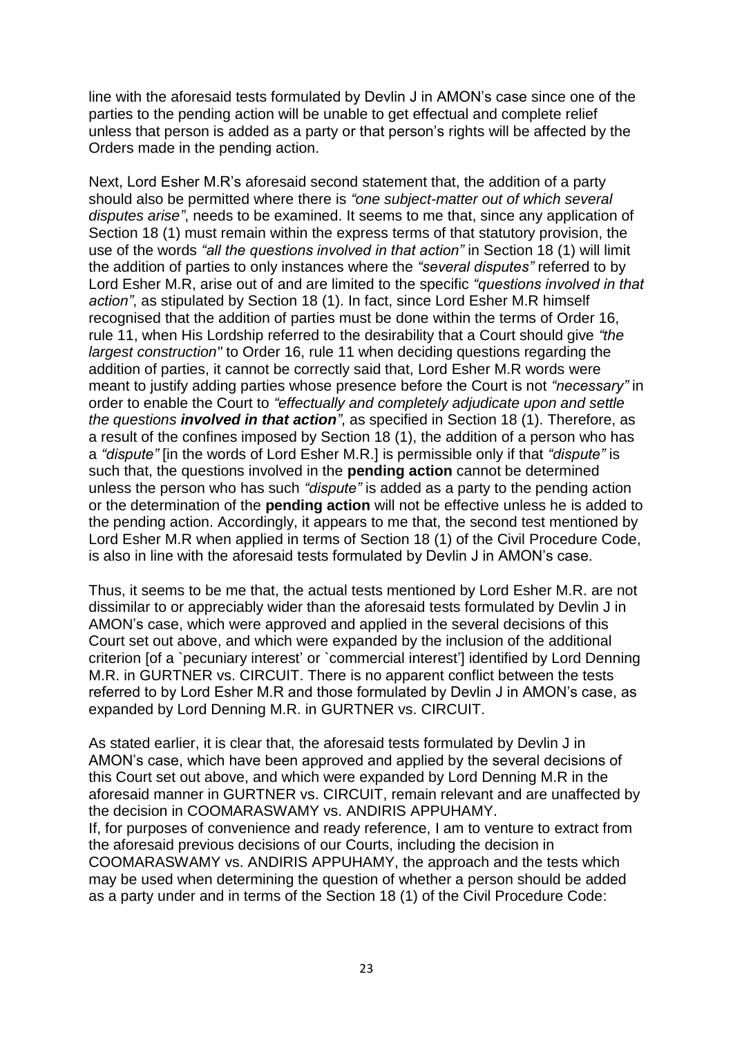line with the aforesaid tests formulated by Devlin J in AMON"s case since one of the parties to the pending action will be unable to get effectual and complete relief unless that person is added as a party or that person"s rights will be affected by the Orders made in the pending action.

Next, Lord Esher M.R"s aforesaid second statement that, the addition of a party should also be permitted where there is *"one subject-matter out of which several disputes arise"*, needs to be examined. It seems to me that, since any application of Section 18 (1) must remain within the express terms of that statutory provision, the use of the words *"all the questions involved in that action"* in Section 18 (1) will limit the addition of parties to only instances where the *"several disputes"* referred to by Lord Esher M.R, arise out of and are limited to the specific *"questions involved in that action"*, as stipulated by Section 18 (1). In fact, since Lord Esher M.R himself recognised that the addition of parties must be done within the terms of Order 16, rule 11, when His Lordship referred to the desirability that a Court should give *"the largest construction"* to Order 16, rule 11 when deciding questions regarding the addition of parties, it cannot be correctly said that, Lord Esher M.R words were meant to justify adding parties whose presence before the Court is not *"necessary"* in order to enable the Court to *"effectually and completely adjudicate upon and settle the questions involved in that action"*, as specified in Section 18 (1). Therefore, as a result of the confines imposed by Section 18 (1), the addition of a person who has a *"dispute"* [in the words of Lord Esher M.R.] is permissible only if that *"dispute"* is such that, the questions involved in the **pending action** cannot be determined unless the person who has such *"dispute"* is added as a party to the pending action or the determination of the **pending action** will not be effective unless he is added to the pending action. Accordingly, it appears to me that, the second test mentioned by Lord Esher M.R when applied in terms of Section 18 (1) of the Civil Procedure Code, is also in line with the aforesaid tests formulated by Devlin J in AMON"s case.

Thus, it seems to be me that, the actual tests mentioned by Lord Esher M.R. are not dissimilar to or appreciably wider than the aforesaid tests formulated by Devlin J in AMON"s case, which were approved and applied in the several decisions of this Court set out above, and which were expanded by the inclusion of the additional criterion [of a `pecuniary interest' or `commercial interest'] identified by Lord Denning M.R. in GURTNER vs. CIRCUIT. There is no apparent conflict between the tests referred to by Lord Esher M.R and those formulated by Devlin J in AMON"s case, as expanded by Lord Denning M.R. in GURTNER vs. CIRCUIT.

As stated earlier, it is clear that, the aforesaid tests formulated by Devlin J in AMON"s case, which have been approved and applied by the several decisions of this Court set out above, and which were expanded by Lord Denning M.R in the aforesaid manner in GURTNER vs. CIRCUIT, remain relevant and are unaffected by the decision in COOMARASWAMY vs. ANDIRIS APPUHAMY. If, for purposes of convenience and ready reference, I am to venture to extract from

the aforesaid previous decisions of our Courts, including the decision in COOMARASWAMY vs. ANDIRIS APPUHAMY, the approach and the tests which may be used when determining the question of whether a person should be added as a party under and in terms of the Section 18 (1) of the Civil Procedure Code: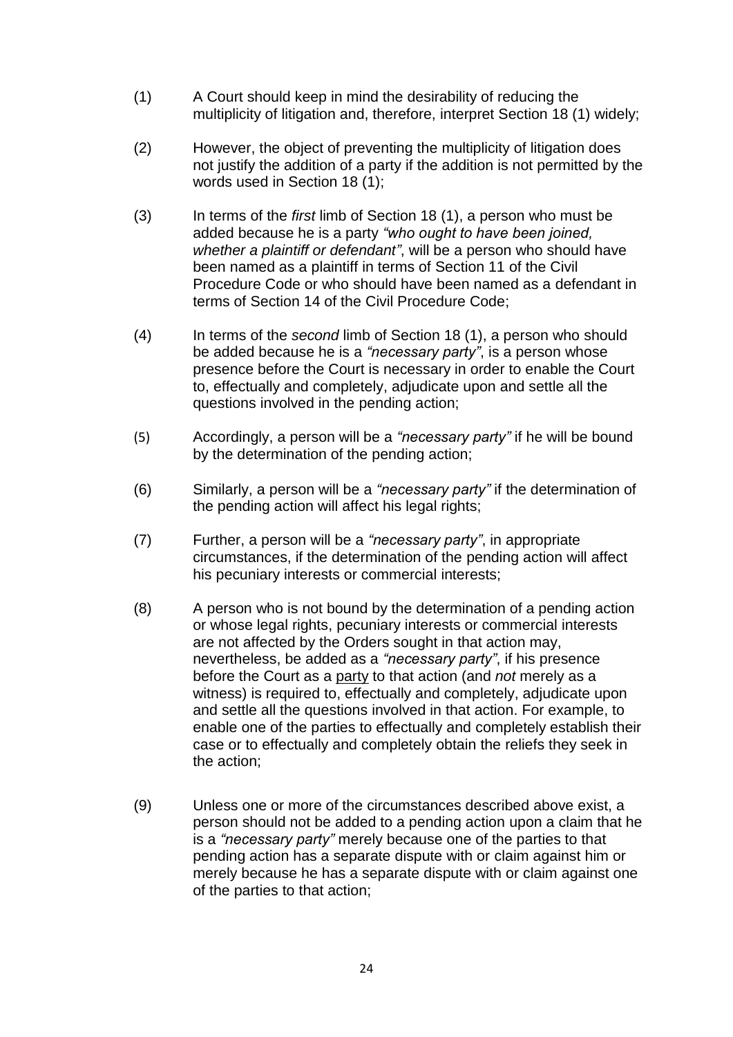- (1) A Court should keep in mind the desirability of reducing the multiplicity of litigation and, therefore, interpret Section 18 (1) widely;
- (2) However, the object of preventing the multiplicity of litigation does not justify the addition of a party if the addition is not permitted by the words used in Section 18 (1);
- (3) In terms of the *first* limb of Section 18 (1), a person who must be added because he is a party *"who ought to have been joined, whether a plaintiff or defendant"*, will be a person who should have been named as a plaintiff in terms of Section 11 of the Civil Procedure Code or who should have been named as a defendant in terms of Section 14 of the Civil Procedure Code;
- (4) In terms of the *second* limb of Section 18 (1), a person who should be added because he is a *"necessary party"*, is a person whose presence before the Court is necessary in order to enable the Court to, effectually and completely, adjudicate upon and settle all the questions involved in the pending action;
- (5) Accordingly, a person will be a *"necessary party"* if he will be bound by the determination of the pending action;
- (6) Similarly, a person will be a *"necessary party"* if the determination of the pending action will affect his legal rights;
- (7) Further, a person will be a *"necessary party"*, in appropriate circumstances, if the determination of the pending action will affect his pecuniary interests or commercial interests;
- (8) A person who is not bound by the determination of a pending action or whose legal rights, pecuniary interests or commercial interests are not affected by the Orders sought in that action may, nevertheless, be added as a *"necessary party"*, if his presence before the Court as a party to that action (and *not* merely as a witness) is required to, effectually and completely, adjudicate upon and settle all the questions involved in that action. For example, to enable one of the parties to effectually and completely establish their case or to effectually and completely obtain the reliefs they seek in the action;
- (9) Unless one or more of the circumstances described above exist, a person should not be added to a pending action upon a claim that he is a *"necessary party"* merely because one of the parties to that pending action has a separate dispute with or claim against him or merely because he has a separate dispute with or claim against one of the parties to that action;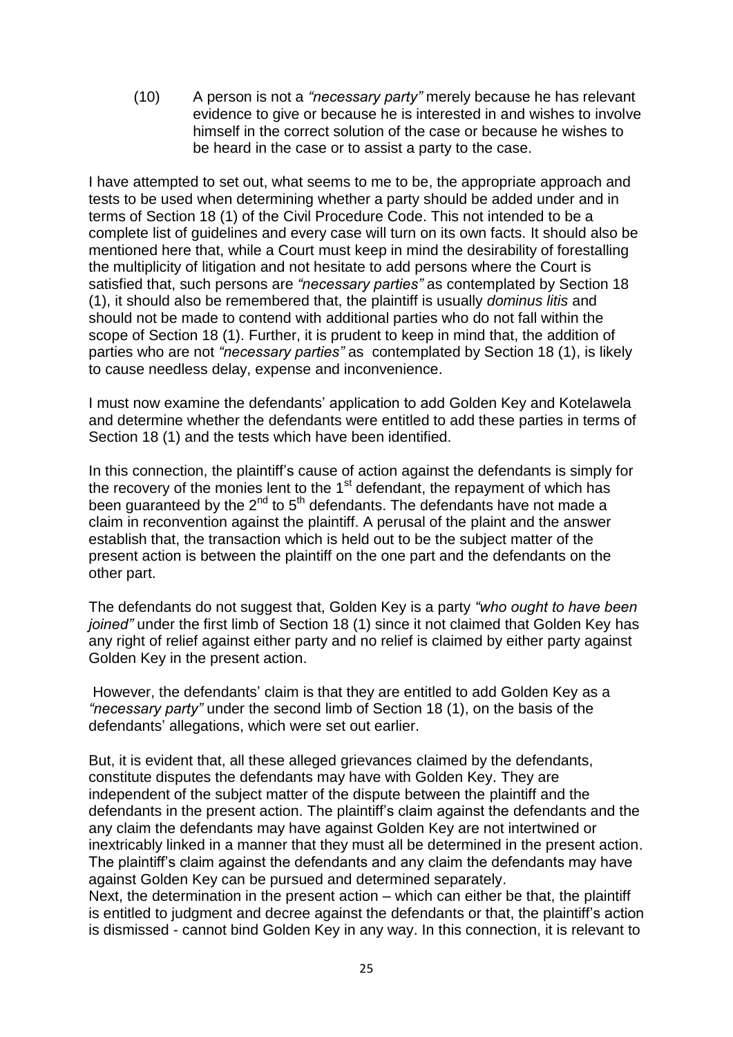(10) A person is not a *"necessary party"* merely because he has relevant evidence to give or because he is interested in and wishes to involve himself in the correct solution of the case or because he wishes to be heard in the case or to assist a party to the case.

I have attempted to set out, what seems to me to be, the appropriate approach and tests to be used when determining whether a party should be added under and in terms of Section 18 (1) of the Civil Procedure Code. This not intended to be a complete list of guidelines and every case will turn on its own facts. It should also be mentioned here that, while a Court must keep in mind the desirability of forestalling the multiplicity of litigation and not hesitate to add persons where the Court is satisfied that, such persons are *"necessary parties"* as contemplated by Section 18 (1), it should also be remembered that, the plaintiff is usually *dominus litis* and should not be made to contend with additional parties who do not fall within the scope of Section 18 (1). Further, it is prudent to keep in mind that, the addition of parties who are not *"necessary parties"* as contemplated by Section 18 (1), is likely to cause needless delay, expense and inconvenience.

I must now examine the defendants" application to add Golden Key and Kotelawela and determine whether the defendants were entitled to add these parties in terms of Section 18 (1) and the tests which have been identified.

In this connection, the plaintiff's cause of action against the defendants is simply for the recovery of the monies lent to the  $1<sup>st</sup>$  defendant, the repayment of which has been guaranteed by the  $2^{nd}$  to  $5^{th}$  defendants. The defendants have not made a claim in reconvention against the plaintiff. A perusal of the plaint and the answer establish that, the transaction which is held out to be the subject matter of the present action is between the plaintiff on the one part and the defendants on the other part.

The defendants do not suggest that, Golden Key is a party *"who ought to have been joined"* under the first limb of Section 18 (1) since it not claimed that Golden Key has any right of relief against either party and no relief is claimed by either party against Golden Key in the present action.

However, the defendants' claim is that they are entitled to add Golden Key as a *"necessary party"* under the second limb of Section 18 (1), on the basis of the defendants" allegations, which were set out earlier.

But, it is evident that, all these alleged grievances claimed by the defendants, constitute disputes the defendants may have with Golden Key. They are independent of the subject matter of the dispute between the plaintiff and the defendants in the present action. The plaintiff"s claim against the defendants and the any claim the defendants may have against Golden Key are not intertwined or inextricably linked in a manner that they must all be determined in the present action. The plaintiff"s claim against the defendants and any claim the defendants may have against Golden Key can be pursued and determined separately.

Next, the determination in the present action – which can either be that, the plaintiff is entitled to judgment and decree against the defendants or that, the plaintiff's action is dismissed - cannot bind Golden Key in any way. In this connection, it is relevant to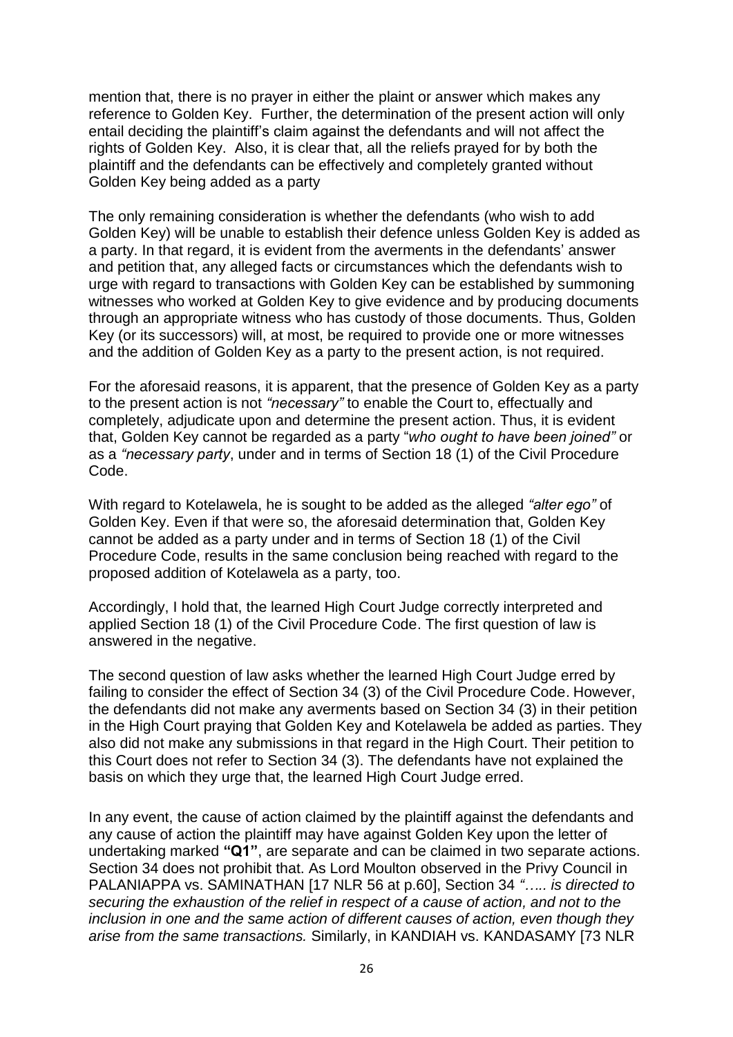mention that, there is no prayer in either the plaint or answer which makes any reference to Golden Key. Further, the determination of the present action will only entail deciding the plaintiff"s claim against the defendants and will not affect the rights of Golden Key. Also, it is clear that, all the reliefs prayed for by both the plaintiff and the defendants can be effectively and completely granted without Golden Key being added as a party

The only remaining consideration is whether the defendants (who wish to add Golden Key) will be unable to establish their defence unless Golden Key is added as a party. In that regard, it is evident from the averments in the defendants' answer and petition that, any alleged facts or circumstances which the defendants wish to urge with regard to transactions with Golden Key can be established by summoning witnesses who worked at Golden Key to give evidence and by producing documents through an appropriate witness who has custody of those documents. Thus, Golden Key (or its successors) will, at most, be required to provide one or more witnesses and the addition of Golden Key as a party to the present action, is not required.

For the aforesaid reasons, it is apparent, that the presence of Golden Key as a party to the present action is not *"necessary"* to enable the Court to, effectually and completely, adjudicate upon and determine the present action. Thus, it is evident that, Golden Key cannot be regarded as a party "*who ought to have been joined"* or as a *"necessary party*, under and in terms of Section 18 (1) of the Civil Procedure Code.

With regard to Kotelawela, he is sought to be added as the alleged *"alter ego"* of Golden Key. Even if that were so, the aforesaid determination that, Golden Key cannot be added as a party under and in terms of Section 18 (1) of the Civil Procedure Code, results in the same conclusion being reached with regard to the proposed addition of Kotelawela as a party, too.

Accordingly, I hold that, the learned High Court Judge correctly interpreted and applied Section 18 (1) of the Civil Procedure Code. The first question of law is answered in the negative.

The second question of law asks whether the learned High Court Judge erred by failing to consider the effect of Section 34 (3) of the Civil Procedure Code. However, the defendants did not make any averments based on Section 34 (3) in their petition in the High Court praying that Golden Key and Kotelawela be added as parties. They also did not make any submissions in that regard in the High Court. Their petition to this Court does not refer to Section 34 (3). The defendants have not explained the basis on which they urge that, the learned High Court Judge erred.

In any event, the cause of action claimed by the plaintiff against the defendants and any cause of action the plaintiff may have against Golden Key upon the letter of undertaking marked **"Q1"**, are separate and can be claimed in two separate actions. Section 34 does not prohibit that. As Lord Moulton observed in the Privy Council in PALANIAPPA vs. SAMINATHAN [17 NLR 56 at p.60], Section 34 *"….. is directed to securing the exhaustion of the relief in respect of a cause of action, and not to the inclusion in one and the same action of different causes of action, even though they arise from the same transactions.* Similarly, in KANDIAH vs. KANDASAMY [73 NLR